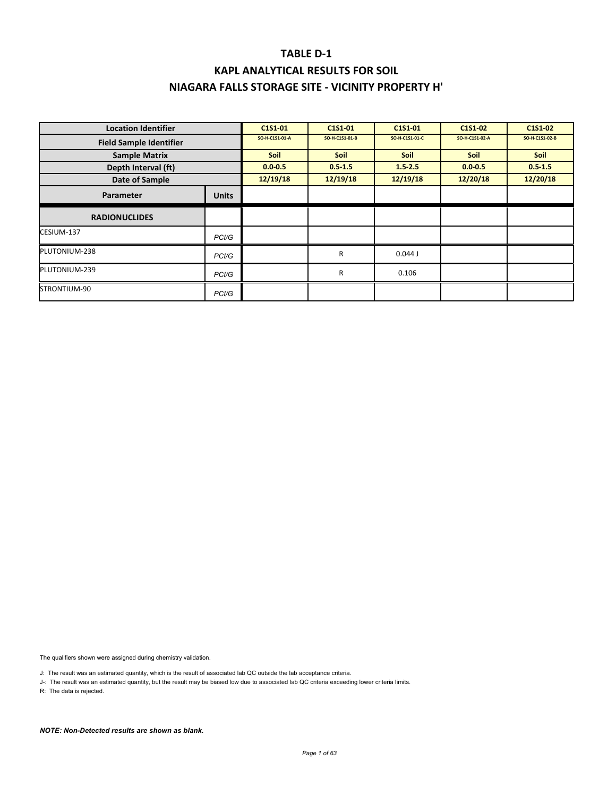# **KAPL ANALYTICAL RESULTS FOR SOIL NIAGARA FALLS STORAGE SITE ‐ VICINITY PROPERTY H'**

| <b>Location Identifier</b>     |                    | C1S1-01        | C1S1-01        | C1S1-01        | C1S1-02        | C1S1-02        |
|--------------------------------|--------------------|----------------|----------------|----------------|----------------|----------------|
| <b>Field Sample Identifier</b> |                    | SO-H-C1S1-01-A | SO-H-C1S1-01-B | SO-H-C1S1-01-C | SO-H-C1S1-02-A | SO-H-C1S1-02-B |
| <b>Sample Matrix</b>           |                    | <b>Soil</b>    | <b>Soil</b>    | Soil           | <b>Soil</b>    | <b>Soil</b>    |
| Depth Interval (ft)            |                    | $0.0 - 0.5$    | $0.5 - 1.5$    | $1.5 - 2.5$    | $0.0 - 0.5$    | $0.5 - 1.5$    |
| Date of Sample                 |                    | 12/19/18       | 12/19/18       | 12/19/18       | 12/20/18       | 12/20/18       |
| Parameter                      | <b>Units</b>       |                |                |                |                |                |
| <b>RADIONUCLIDES</b>           |                    |                |                |                |                |                |
| CESIUM-137                     | PC <sub>1</sub> /G |                |                |                |                |                |
| PLUTONIUM-238                  | PCI/G              |                | R              | 0.044J         |                |                |
| PLUTONIUM-239                  | PC <sub>1</sub> /G |                | R              | 0.106          |                |                |
| STRONTIUM-90                   | PCI/G              |                |                |                |                |                |

The qualifiers shown were assigned during chemistry validation.

J: The result was an estimated quantity, which is the result of associated lab QC outside the lab acceptance criteria.

J-: The result was an estimated quantity, but the result may be biased low due to associated lab QC criteria exceeding lower criteria limits.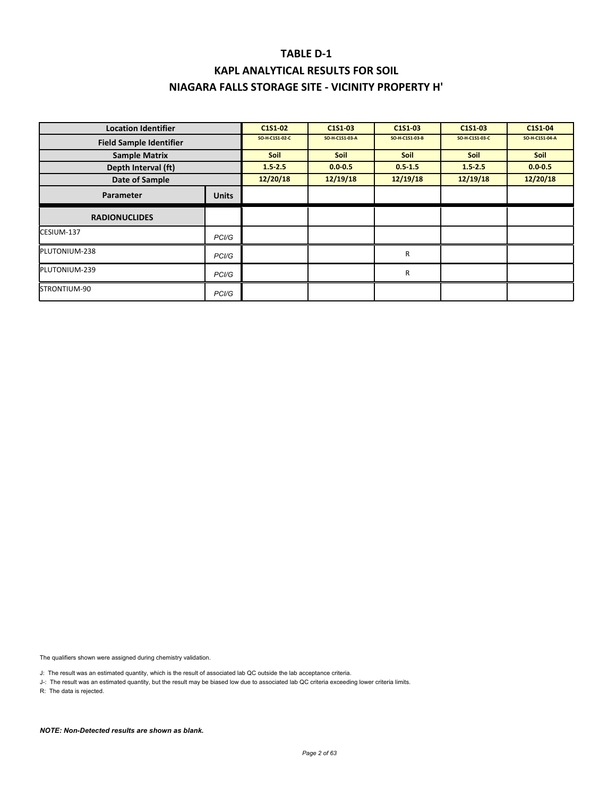# **KAPL ANALYTICAL RESULTS FOR SOIL NIAGARA FALLS STORAGE SITE ‐ VICINITY PROPERTY H'**

| <b>Location Identifier</b>     |                    | C1S1-02        | C1S1-03        | C1S1-03        | C1S1-03        | C1S1-04        |
|--------------------------------|--------------------|----------------|----------------|----------------|----------------|----------------|
| <b>Field Sample Identifier</b> |                    | SO-H-C1S1-02-C | SO-H-C1S1-03-A | SO-H-C1S1-03-B | SO-H-C1S1-03-C | SO-H-C1S1-04-A |
| <b>Sample Matrix</b>           |                    | Soil           | <b>Soil</b>    | Soil           | <b>Soil</b>    | Soil           |
| Depth Interval (ft)            |                    | $1.5 - 2.5$    | $0.0 - 0.5$    | $0.5 - 1.5$    | 1.52.5         | $0.0 - 0.5$    |
| Date of Sample                 |                    | 12/20/18       | 12/19/18       | 12/19/18       | 12/19/18       | 12/20/18       |
| Parameter                      | <b>Units</b>       |                |                |                |                |                |
| <b>RADIONUCLIDES</b>           |                    |                |                |                |                |                |
| CESIUM-137                     | PC <sub>1</sub> /G |                |                |                |                |                |
| PLUTONIUM-238                  | PC <sub>1</sub> /G |                |                | R              |                |                |
| PLUTONIUM-239                  | PCI/G              |                |                | R              |                |                |
| STRONTIUM-90                   | PC <sub>1</sub> /G |                |                |                |                |                |

The qualifiers shown were assigned during chemistry validation.

J: The result was an estimated quantity, which is the result of associated lab QC outside the lab acceptance criteria.

J-: The result was an estimated quantity, but the result may be biased low due to associated lab QC criteria exceeding lower criteria limits.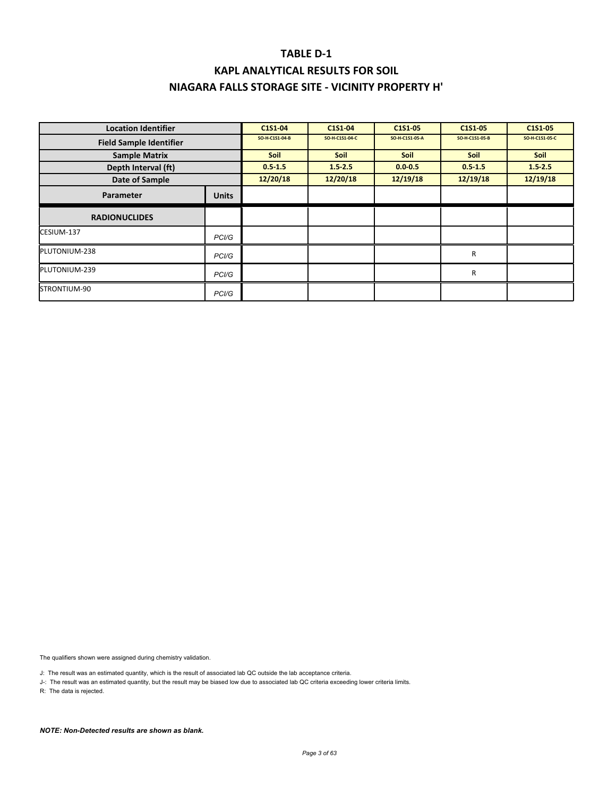### **TABLE D‐1 KAPL ANALYTICAL RESULTS FOR SOIL**

### **NIAGARA FALLS STORAGE SITE ‐ VICINITY PROPERTY H'**

| <b>Location Identifier</b>     |              | C1S1-04        | C1S1-04        | C1S1-05        | C1S1-05        | C1S1-05        |
|--------------------------------|--------------|----------------|----------------|----------------|----------------|----------------|
| <b>Field Sample Identifier</b> |              | SO-H-C1S1-04-B | SO-H-C1S1-04-C | SO-H-C1S1-05-A | SO-H-C1S1-05-B | SO-H-C1S1-05-C |
| <b>Sample Matrix</b>           |              | Soil           | <b>Soil</b>    | <b>Soil</b>    | Soil           | Soil           |
| Depth Interval (ft)            |              | $0.5 - 1.5$    | $1.5 - 2.5$    | $0.0 - 0.5$    | $0.5 - 1.5$    | 1.52.5         |
| Date of Sample                 |              | 12/20/18       | 12/20/18       | 12/19/18       | 12/19/18       | 12/19/18       |
| Parameter                      | <b>Units</b> |                |                |                |                |                |
| <b>RADIONUCLIDES</b>           |              |                |                |                |                |                |
| CESIUM-137                     | PCI/G        |                |                |                |                |                |
| PLUTONIUM-238                  | PCI/G        |                |                |                | R              |                |
| PLUTONIUM-239                  | PCI/G        |                |                |                | $\mathsf{R}$   |                |
| STRONTIUM-90                   | PCI/G        |                |                |                |                |                |

The qualifiers shown were assigned during chemistry validation.

J: The result was an estimated quantity, which is the result of associated lab QC outside the lab acceptance criteria.

J-: The result was an estimated quantity, but the result may be biased low due to associated lab QC criteria exceeding lower criteria limits.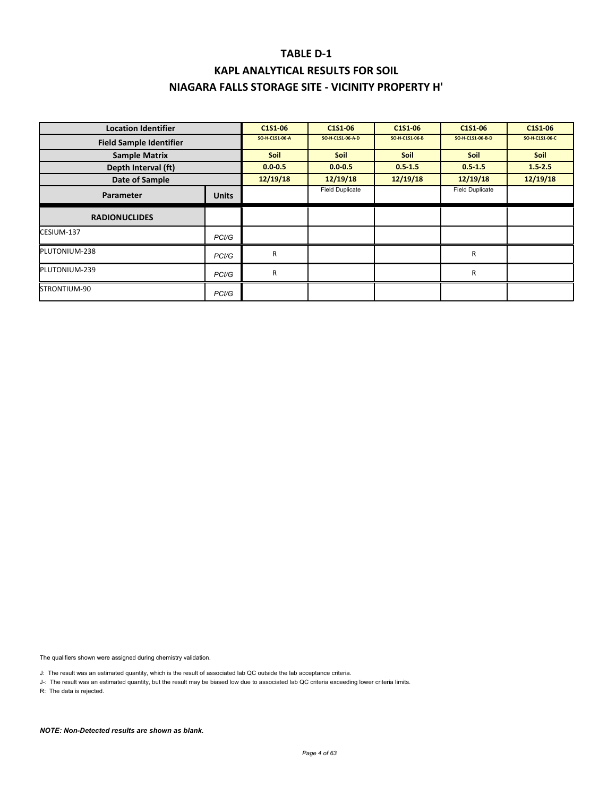### **TABLE D‐1 KAPL ANALYTICAL RESULTS FOR SOIL**

# **NIAGARA FALLS STORAGE SITE ‐ VICINITY PROPERTY H'**

| <b>Location Identifier</b>     |                    | C1S1-06        | C1S1-06                | C1S1-06        | C1S1-06                | C1S1-06        |
|--------------------------------|--------------------|----------------|------------------------|----------------|------------------------|----------------|
| <b>Field Sample Identifier</b> |                    | SO-H-C1S1-06-A | SO-H-C1S1-06-A-D       | SO-H-C1S1-06-B | SO-H-C1S1-06-B-D       | SO-H-C1S1-06-C |
| <b>Sample Matrix</b>           |                    | Soil           | <b>Soil</b>            | Soil           | <b>Soil</b>            | <b>Soil</b>    |
| Depth Interval (ft)            |                    | $0.0 - 0.5$    | $0.0 - 0.5$            | $0.5 - 1.5$    | $0.5 - 1.5$            | $1.5 - 2.5$    |
| Date of Sample                 |                    | 12/19/18       | 12/19/18               | 12/19/18       | 12/19/18               | 12/19/18       |
| <b>Parameter</b>               | <b>Units</b>       |                | <b>Field Duplicate</b> |                | <b>Field Duplicate</b> |                |
| <b>RADIONUCLIDES</b>           |                    |                |                        |                |                        |                |
| CESIUM-137                     | PC <sub>1</sub> /G |                |                        |                |                        |                |
| PLUTONIUM-238                  | PCI/G              | R              |                        |                | R                      |                |
| PLUTONIUM-239                  | PCI/G              | R              |                        |                | R                      |                |
| STRONTIUM-90                   | PCI/G              |                |                        |                |                        |                |

The qualifiers shown were assigned during chemistry validation.

J: The result was an estimated quantity, which is the result of associated lab QC outside the lab acceptance criteria.

J-: The result was an estimated quantity, but the result may be biased low due to associated lab QC criteria exceeding lower criteria limits.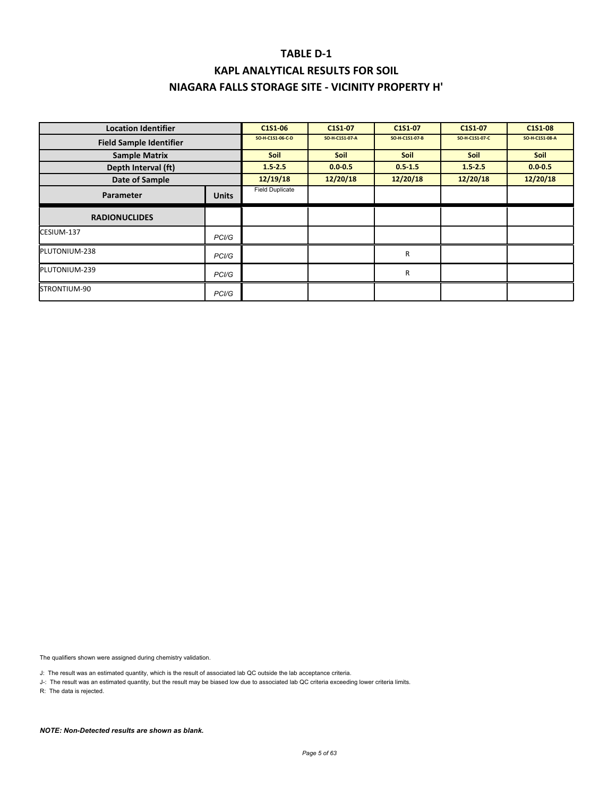| <b>Location Identifier</b>     |                    | C1S1-06                | C1S1-07        | C1S1 07        | C1S1-07        | C1S1-08        |
|--------------------------------|--------------------|------------------------|----------------|----------------|----------------|----------------|
| <b>Field Sample Identifier</b> |                    | SO-H-C1S1-06-C-D       | SO-H-C1S1-07-A | SO-H-C1S1-07-B | SO-H-C1S1-07-C | SO-H-C1S1-08-A |
| <b>Sample Matrix</b>           |                    | <b>Soil</b>            | <b>Soil</b>    | <b>Soil</b>    | <b>Soil</b>    | <b>Soil</b>    |
| Depth Interval (ft)            |                    | $1.5 - 2.5$            | $0.0 - 0.5$    | $0.5 - 1.5$    | $1.5 - 2.5$    | $0.0 - 0.5$    |
| Date of Sample                 |                    | 12/19/18               | 12/20/18       | 12/20/18       | 12/20/18       | 12/20/18       |
| Parameter                      | <b>Units</b>       | <b>Field Duplicate</b> |                |                |                |                |
| <b>RADIONUCLIDES</b>           |                    |                        |                |                |                |                |
| CESIUM-137                     | PC <sub>1</sub> /G |                        |                |                |                |                |
| PLUTONIUM-238                  | PC <sub>1</sub> /G |                        |                | R              |                |                |
| PLUTONIUM-239                  | PC <sub>1</sub> /G |                        |                | R              |                |                |
| STRONTIUM-90                   | PCI/G              |                        |                |                |                |                |

The qualifiers shown were assigned during chemistry validation.

J: The result was an estimated quantity, which is the result of associated lab QC outside the lab acceptance criteria.

J-: The result was an estimated quantity, but the result may be biased low due to associated lab QC criteria exceeding lower criteria limits.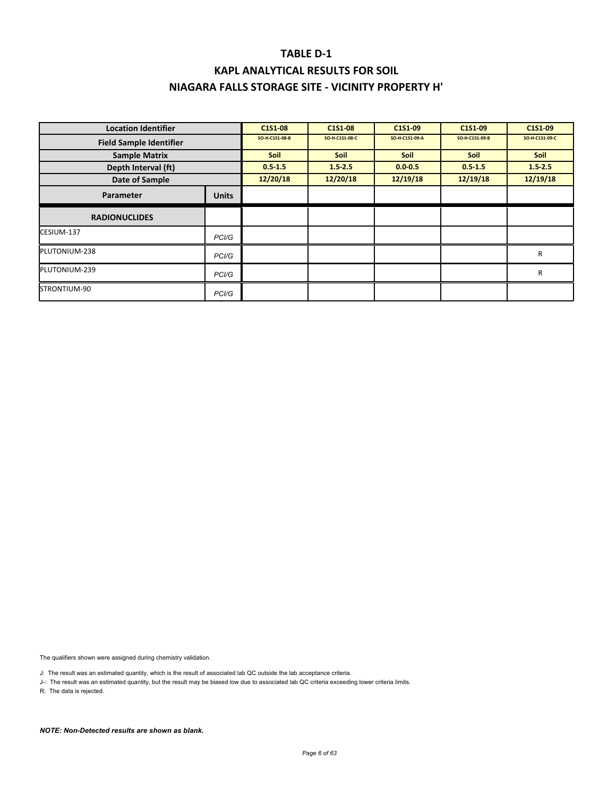| <b>Location Identifier</b>     |                    | C1S1-08        | C1S1-08        | C1S1-09        | C1S1-09        | C1S1-09        |
|--------------------------------|--------------------|----------------|----------------|----------------|----------------|----------------|
| <b>Field Sample Identifier</b> |                    | SO-H-C1S1-08-B | SO-H-C1S1-08-C | SO-H-C1S1-09-A | SO-H-C1S1-09-B | SO-H-C1S1-09-C |
| <b>Sample Matrix</b>           |                    | <b>Soil</b>    | <b>Soil</b>    | <b>Soil</b>    | <b>Soil</b>    | <b>Soil</b>    |
| Depth Interval (ft)            |                    | $0.5 - 1.5$    | $1.5 - 2.5$    | $0.0 - 0.5$    | $0.5 - 1.5$    | 1.52.5         |
| Date of Sample                 |                    | 12/20/18       | 12/20/18       | 12/19/18       | 12/19/18       | 12/19/18       |
| <b>Parameter</b>               | <b>Units</b>       |                |                |                |                |                |
| <b>RADIONUCLIDES</b>           |                    |                |                |                |                |                |
| CESIUM-137                     | PC <sub>1</sub> /G |                |                |                |                |                |
| PLUTONIUM-238                  | PC <sub>1</sub> /G |                |                |                |                | R              |
| PLUTONIUM-239                  | PCI/G              |                |                |                |                | R              |
| STRONTIUM-90                   | PCI/G              |                |                |                |                |                |

The qualifiers shown were assigned during chemistry validation.

J: The result was an estimated quantity, which is the result of associated lab QC outside the lab acceptance criteria.

J-: The result was an estimated quantity, but the result may be biased low due to associated lab QC criteria exceeding lower criteria limits.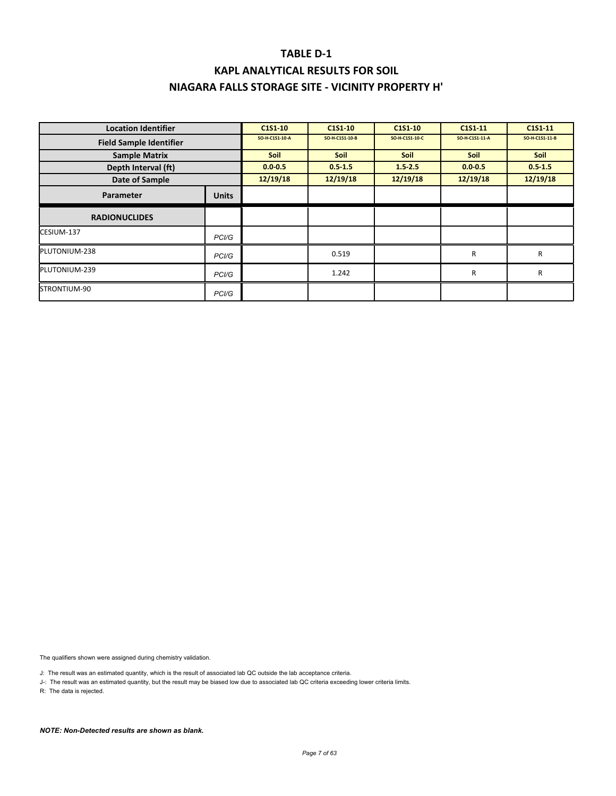# **KAPL ANALYTICAL RESULTS FOR SOIL NIAGARA FALLS STORAGE SITE ‐ VICINITY PROPERTY H'**

| <b>Location Identifier</b>     |                    | C1S1-10        | C <sub>151</sub> -10 | C1S1-10        | C1S1-11        | C1S1-11        |
|--------------------------------|--------------------|----------------|----------------------|----------------|----------------|----------------|
| <b>Field Sample Identifier</b> |                    | SO-H-C1S1-10-A | SO-H-C1S1-10-B       | SO-H-C1S1-10-C | SO-H-C1S1-11-A | SO-H-C1S1-11-B |
| <b>Sample Matrix</b>           |                    | <b>Soil</b>    | <b>Soil</b>          | <b>Soil</b>    | <b>Soil</b>    | <b>Soil</b>    |
| Depth Interval (ft)            |                    | $0.0 - 0.5$    | $0.5 - 1.5$          | $1.5 - 2.5$    | $0.0 - 0.5$    | $0.5 - 1.5$    |
| Date of Sample                 |                    | 12/19/18       | 12/19/18             | 12/19/18       | 12/19/18       | 12/19/18       |
| Parameter                      | <b>Units</b>       |                |                      |                |                |                |
| <b>RADIONUCLIDES</b>           |                    |                |                      |                |                |                |
| CESIUM-137                     | PCI/G              |                |                      |                |                |                |
| PLUTONIUM-238                  | PC <sub>1</sub> /G |                | 0.519                |                | R              | R              |
| PLUTONIUM-239                  | PCI/G              |                | 1.242                |                | R              | R              |
| STRONTIUM-90                   | PCI/G              |                |                      |                |                |                |

The qualifiers shown were assigned during chemistry validation.

J: The result was an estimated quantity, which is the result of associated lab QC outside the lab acceptance criteria.

J-: The result was an estimated quantity, but the result may be biased low due to associated lab QC criteria exceeding lower criteria limits.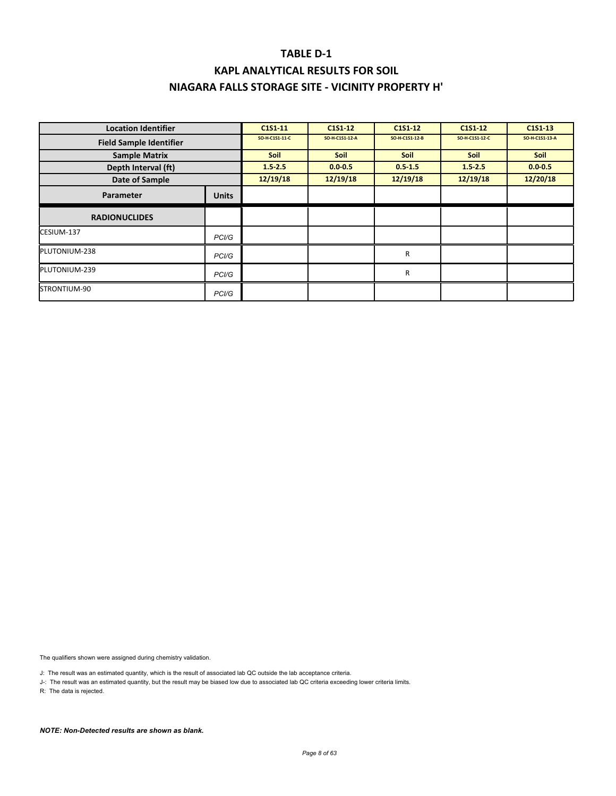# **KAPL ANALYTICAL RESULTS FOR SOIL NIAGARA FALLS STORAGE SITE ‐ VICINITY PROPERTY H'**

| <b>Location Identifier</b>     |                    | C1S1-11        | C1S1-12        | C1S1-12        | C <sub>151</sub> -12 | C1S1 13        |
|--------------------------------|--------------------|----------------|----------------|----------------|----------------------|----------------|
| <b>Field Sample Identifier</b> |                    | SO-H-C1S1-11-C | SO-H-C1S1-12-A | SO-H-C1S1-12-B | SO-H-C1S1-12-C       | SO-H-C1S1-13-A |
| <b>Sample Matrix</b>           |                    | Soil           | <b>Soil</b>    | Soil           | Soil                 | Soil           |
| Depth Interval (ft)            |                    | $1.5 - 2.5$    | $0.0 - 0.5$    | $0.5 - 1.5$    | 1.52.5               | $0.0 - 0.5$    |
| Date of Sample                 |                    | 12/19/18       | 12/19/18       | 12/19/18       | 12/19/18             | 12/20/18       |
| Parameter                      | <b>Units</b>       |                |                |                |                      |                |
| <b>RADIONUCLIDES</b>           |                    |                |                |                |                      |                |
| CESIUM-137                     | PC <sub>1</sub> /G |                |                |                |                      |                |
| PLUTONIUM-238                  | PC <sub>1</sub> /G |                |                | R              |                      |                |
| PLUTONIUM-239                  | PCI/G              |                |                | R              |                      |                |
| STRONTIUM-90                   | PC <sub>1</sub> /G |                |                |                |                      |                |

The qualifiers shown were assigned during chemistry validation.

J: The result was an estimated quantity, which is the result of associated lab QC outside the lab acceptance criteria.

J-: The result was an estimated quantity, but the result may be biased low due to associated lab QC criteria exceeding lower criteria limits.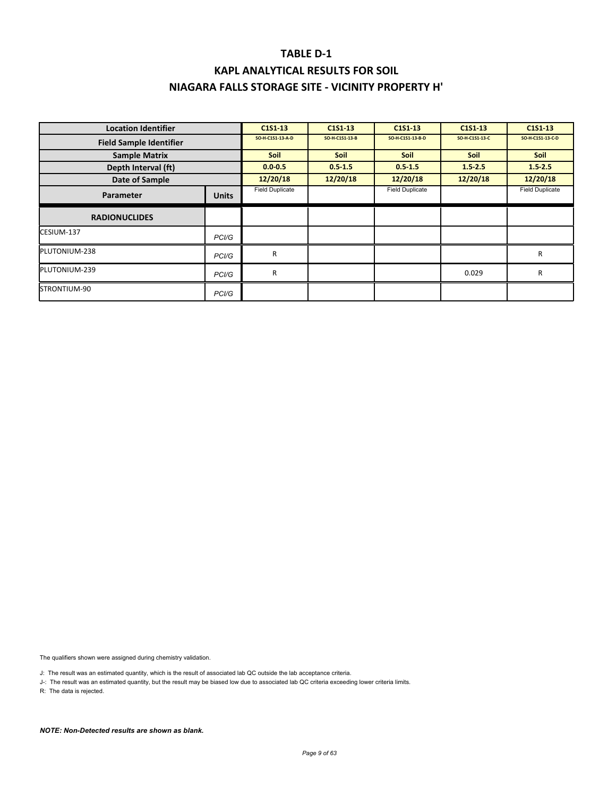# **KAPL ANALYTICAL RESULTS FOR SOIL NIAGARA FALLS STORAGE SITE ‐ VICINITY PROPERTY H'**

| <b>Location Identifier</b>     |                    | C1S1-13                | C1S1 13        | C1S1-13                | C1S1 13        | C1S1 13                |
|--------------------------------|--------------------|------------------------|----------------|------------------------|----------------|------------------------|
| <b>Field Sample Identifier</b> |                    | SO-H-C1S1-13-A-D       | SO-H-C1S1-13-B | SO-H-C1S1-13-B-D       | SO-H-C1S1-13-C | SO-H-C1S1-13-C-D       |
| <b>Sample Matrix</b>           |                    | <b>Soil</b>            | <b>Soil</b>    | <b>Soil</b>            | <b>Soil</b>    | <b>Soil</b>            |
| Depth Interval (ft)            |                    | $0.0 - 0.5$            | $0.5 - 1.5$    | $0.5 - 1.5$            | $1.5 - 2.5$    | $1.5 - 2.5$            |
| Date of Sample                 |                    | 12/20/18               | 12/20/18       | 12/20/18               | 12/20/18       | 12/20/18               |
| Parameter                      | <b>Units</b>       | <b>Field Duplicate</b> |                | <b>Field Duplicate</b> |                | <b>Field Duplicate</b> |
| <b>RADIONUCLIDES</b>           |                    |                        |                |                        |                |                        |
| CESIUM-137                     | PC <sub>1</sub> /G |                        |                |                        |                |                        |
| PLUTONIUM-238                  | PCI/G              | R                      |                |                        |                | R                      |
| PLUTONIUM-239                  | PC <sub>1</sub> /G | R                      |                |                        | 0.029          | R                      |
| STRONTIUM-90                   | PC <sub>1</sub> /G |                        |                |                        |                |                        |

The qualifiers shown were assigned during chemistry validation.

J: The result was an estimated quantity, which is the result of associated lab QC outside the lab acceptance criteria.

J-: The result was an estimated quantity, but the result may be biased low due to associated lab QC criteria exceeding lower criteria limits.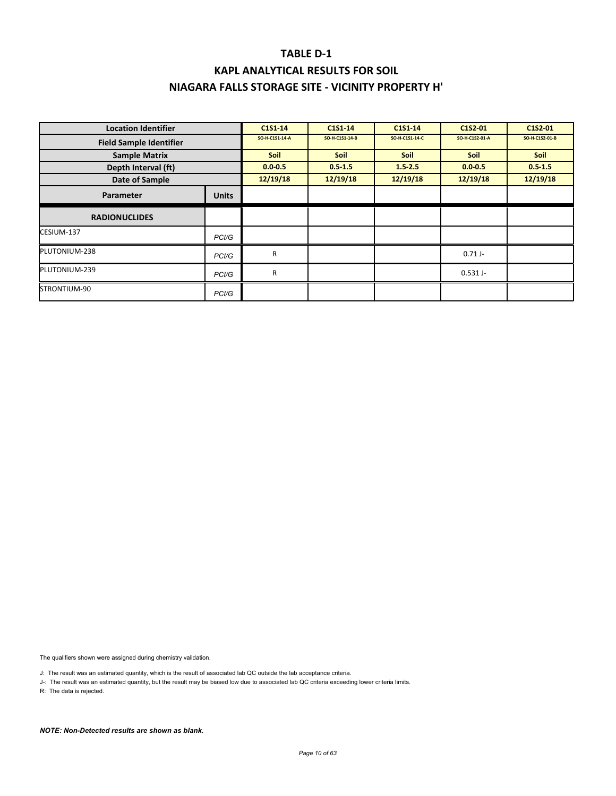# **KAPL ANALYTICAL RESULTS FOR SOIL NIAGARA FALLS STORAGE SITE ‐ VICINITY PROPERTY H'**

| <b>Location Identifier</b>     |                    | C1S1-14        | C1S1-14        | C1S1-14        | C1S2-01        | C1S2-01        |
|--------------------------------|--------------------|----------------|----------------|----------------|----------------|----------------|
| <b>Field Sample Identifier</b> |                    | SO-H-C1S1-14-A | SO-H-C1S1-14-B | SO-H-C1S1-14-C | SO-H-C1S2-01-A | SO-H-C1S2-01-B |
| <b>Sample Matrix</b>           |                    | <b>Soil</b>    | <b>Soil</b>    | <b>Soil</b>    | <b>Soil</b>    | Soil           |
| Depth Interval (ft)            |                    | $0.0 - 0.5$    | $0.5 - 1.5$    | $1.5 - 2.5$    | $0.0 - 0.5$    | $0.5 - 1.5$    |
| Date of Sample                 |                    | 12/19/18       | 12/19/18       | 12/19/18       | 12/19/18       | 12/19/18       |
| Parameter                      | <b>Units</b>       |                |                |                |                |                |
| <b>RADIONUCLIDES</b>           |                    |                |                |                |                |                |
| CESIUM-137                     | PC <sub>1</sub> /G |                |                |                |                |                |
| PLUTONIUM-238                  | PC <sub>1</sub> /G | R              |                |                | $0.71$ J-      |                |
| PLUTONIUM-239                  | PCI/G              | R              |                |                | $0.531$ J-     |                |
| STRONTIUM-90                   | PC <sub>1</sub> /G |                |                |                |                |                |

The qualifiers shown were assigned during chemistry validation.

J: The result was an estimated quantity, which is the result of associated lab QC outside the lab acceptance criteria.

J-: The result was an estimated quantity, but the result may be biased low due to associated lab QC criteria exceeding lower criteria limits.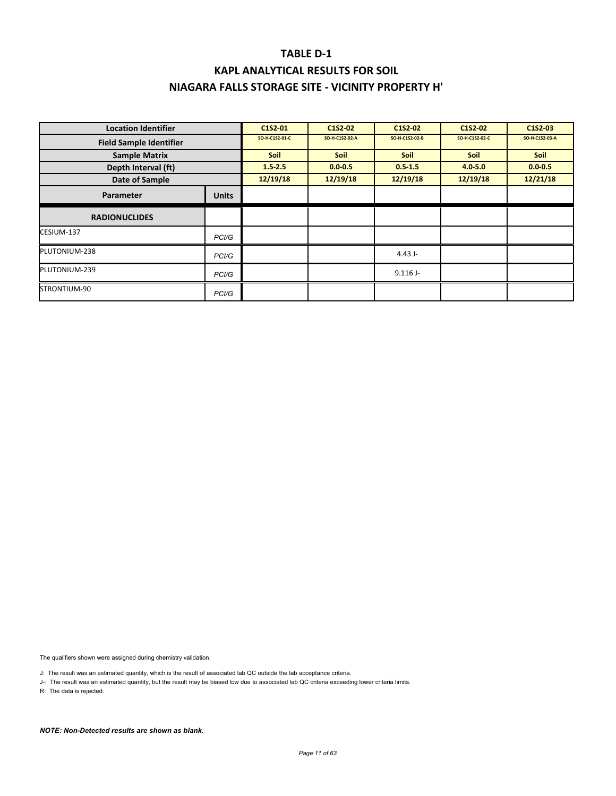| <b>Location Identifier</b>     |                    | C1S2-01        | C1S2-02        | C1S2-02        | C1S2-02        | C1S2-03        |
|--------------------------------|--------------------|----------------|----------------|----------------|----------------|----------------|
| <b>Field Sample Identifier</b> |                    | SO-H-C1S2-01-C | SO-H-C1S2-02-A | SO-H-C1S2-02-B | SO-H-C1S2-02-C | SO-H-C1S2-03-A |
| <b>Sample Matrix</b>           |                    | Soil           | <b>Soil</b>    | <b>Soil</b>    | <b>Soil</b>    | Soil           |
| Depth Interval (ft)            |                    | 1.52.5         | $0.0 - 0.5$    | $0.5 - 1.5$    | $4.0 - 5.0$    | $0.0 - 0.5$    |
| Date of Sample                 |                    | 12/19/18       | 12/19/18       | 12/19/18       | 12/19/18       | 12/21/18       |
| Parameter                      | <b>Units</b>       |                |                |                |                |                |
| <b>RADIONUCLIDES</b>           |                    |                |                |                |                |                |
| CESIUM-137                     | PCI/G              |                |                |                |                |                |
| PLUTONIUM-238                  | PCI/G              |                |                | 4.43 J-        |                |                |
| PLUTONIUM-239                  | PCI/G              |                |                | $9.116$ J-     |                |                |
| STRONTIUM-90                   | PC <sub>1</sub> /G |                |                |                |                |                |

The qualifiers shown were assigned during chemistry validation.

J: The result was an estimated quantity, which is the result of associated lab QC outside the lab acceptance criteria.

J-: The result was an estimated quantity, but the result may be biased low due to associated lab QC criteria exceeding lower criteria limits.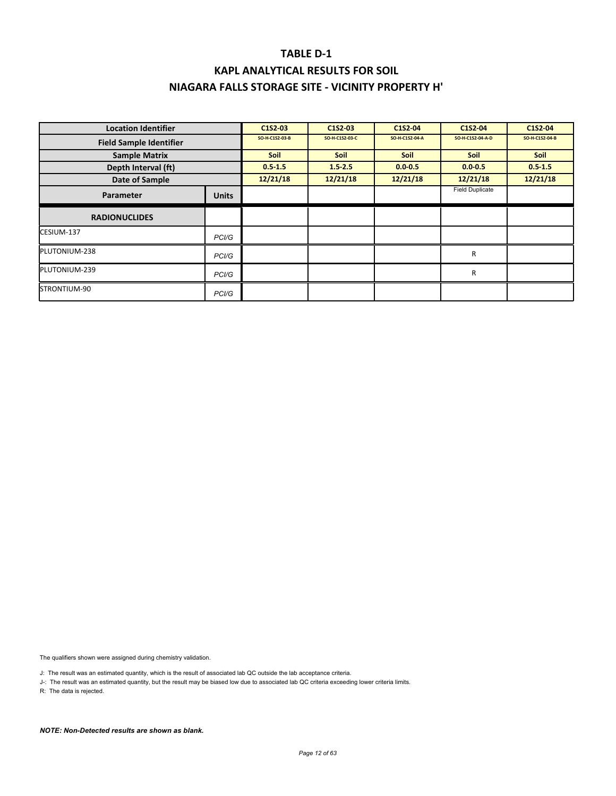| <b>Location Identifier</b>     |              | C1S2-03        | C1S2-03        | C1S2-04        | C1S2-04                | C1S2-04        |
|--------------------------------|--------------|----------------|----------------|----------------|------------------------|----------------|
| <b>Field Sample Identifier</b> |              | SO-H-C1S2-03-B | SO-H-C1S2-03-C | SO-H-C1S2-04-A | SO-H-C1S2-04-A-D       | SO-H-C1S2-04-B |
| <b>Sample Matrix</b>           |              | <b>Soil</b>    | <b>Soil</b>    | <b>Soil</b>    | <b>Soil</b>            | <b>Soil</b>    |
| Depth Interval (ft)            |              | $0.5 - 1.5$    | $1.5 - 2.5$    | $0.0 - 0.5$    | $0.0 - 0.5$            | $0.5 - 1.5$    |
| Date of Sample                 |              | 12/21/18       | 12/21/18       | 12/21/18       | 12/21/18               | 12/21/18       |
| Parameter                      | <b>Units</b> |                |                |                | <b>Field Duplicate</b> |                |
| <b>RADIONUCLIDES</b>           |              |                |                |                |                        |                |
| CESIUM-137                     | PCI/G        |                |                |                |                        |                |
| PLUTONIUM-238                  | PCI/G        |                |                |                | $\mathsf{R}$           |                |
| PLUTONIUM-239                  | PCI/G        |                |                |                | $\mathsf{R}$           |                |
| STRONTIUM-90                   | PCI/G        |                |                |                |                        |                |

The qualifiers shown were assigned during chemistry validation.

J: The result was an estimated quantity, which is the result of associated lab QC outside the lab acceptance criteria.

J-: The result was an estimated quantity, but the result may be biased low due to associated lab QC criteria exceeding lower criteria limits.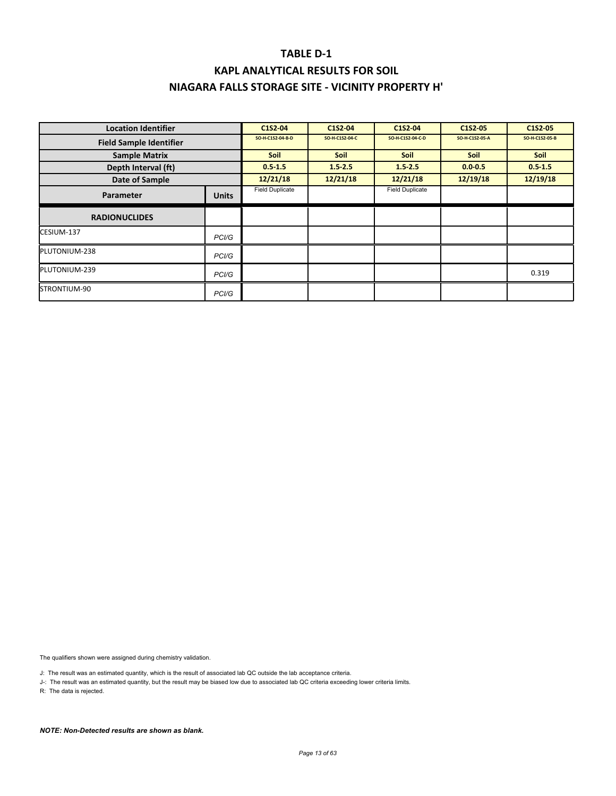| <b>Location Identifier</b>     |                    | C1S2-04                | C1S2-04        | C1S2-04                | C1S2-05        | C1S2-05        |
|--------------------------------|--------------------|------------------------|----------------|------------------------|----------------|----------------|
| <b>Field Sample Identifier</b> |                    | SO-H-C1S2-04-B-D       | SO-H-C1S2-04-C | SO-H-C1S2-04-C-D       | SO-H-C1S2-05-A | SO-H-C1S2-05-B |
| <b>Sample Matrix</b>           |                    | <b>Soil</b>            | <b>Soil</b>    | <b>Soil</b>            | <b>Soil</b>    | <b>Soil</b>    |
| Depth Interval (ft)            |                    | $0.5 - 1.5$            | $1.5 - 2.5$    | $1.5 - 2.5$            | $0.0 - 0.5$    | $0.5 - 1.5$    |
| Date of Sample                 |                    | 12/21/18               | 12/21/18       | 12/21/18               | 12/19/18       | 12/19/18       |
| Parameter                      | <b>Units</b>       | <b>Field Duplicate</b> |                | <b>Field Duplicate</b> |                |                |
| <b>RADIONUCLIDES</b>           |                    |                        |                |                        |                |                |
| CESIUM-137                     | PC <sub>1</sub> /G |                        |                |                        |                |                |
| PLUTONIUM-238                  | PC <sub>1</sub> /G |                        |                |                        |                |                |
| PLUTONIUM-239                  | PCI/G              |                        |                |                        |                | 0.319          |
| STRONTIUM-90                   | PCI/G              |                        |                |                        |                |                |

The qualifiers shown were assigned during chemistry validation.

J: The result was an estimated quantity, which is the result of associated lab QC outside the lab acceptance criteria.

J-: The result was an estimated quantity, but the result may be biased low due to associated lab QC criteria exceeding lower criteria limits.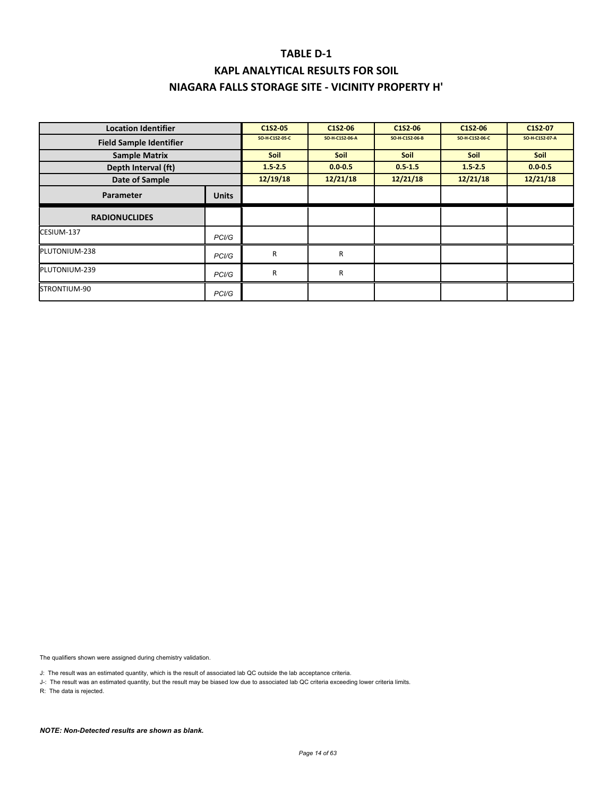| <b>Location Identifier</b>     |                    | C1S2-05        | C1S2-06        | C1S2-06        | C1S2-06        | C1S2-07        |
|--------------------------------|--------------------|----------------|----------------|----------------|----------------|----------------|
| <b>Field Sample Identifier</b> |                    | SO-H-C1S2-05-C | SO-H-C1S2-06-A | SO-H-C1S2-06-B | SO-H-C1S2-06-C | SO-H-C1S2-07-A |
| <b>Sample Matrix</b>           |                    | Soil           | <b>Soil</b>    | Soil           | <b>Soil</b>    | Soil           |
| Depth Interval (ft)            |                    | 1.52.5         | $0.0 - 0.5$    | $0.5 - 1.5$    | $1.5 - 2.5$    | $0.0 - 0.5$    |
| Date of Sample                 |                    | 12/19/18       | 12/21/18       | 12/21/18       | 12/21/18       | 12/21/18       |
| Parameter                      | <b>Units</b>       |                |                |                |                |                |
| <b>RADIONUCLIDES</b>           |                    |                |                |                |                |                |
| CESIUM-137                     | PCI/G              |                |                |                |                |                |
| PLUTONIUM-238                  | PCI/G              | R              | R              |                |                |                |
| PLUTONIUM-239                  | PCI/G              | R              | R              |                |                |                |
| STRONTIUM-90                   | PC <sub>1</sub> /G |                |                |                |                |                |

The qualifiers shown were assigned during chemistry validation.

J: The result was an estimated quantity, which is the result of associated lab QC outside the lab acceptance criteria.

J-: The result was an estimated quantity, but the result may be biased low due to associated lab QC criteria exceeding lower criteria limits.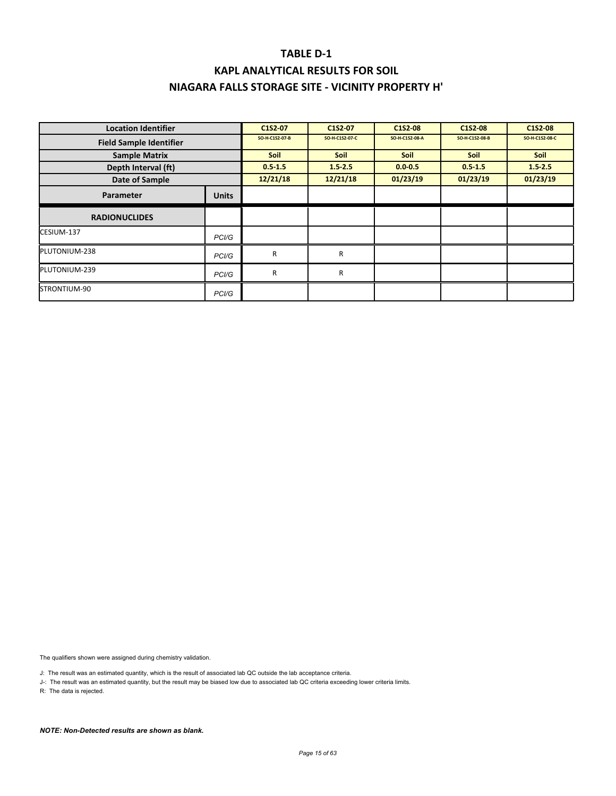# **KAPL ANALYTICAL RESULTS FOR SOIL NIAGARA FALLS STORAGE SITE ‐ VICINITY PROPERTY H'**

| <b>Location Identifier</b>     |                    | C1S2-07        | C1S2-07        | C1S2-08        | C1S2-08        | C1S2-08        |
|--------------------------------|--------------------|----------------|----------------|----------------|----------------|----------------|
| <b>Field Sample Identifier</b> |                    | SO-H-C1S2-07-B | SO-H-C1S2-07-C | SO-H-C1S2-08-A | SO-H-C1S2-08-B | SO-H-C1S2-08-C |
| <b>Sample Matrix</b>           |                    | <b>Soil</b>    | <b>Soil</b>    | <b>Soil</b>    | <b>Soil</b>    | <b>Soil</b>    |
| Depth Interval (ft)            |                    | $0.5 - 1.5$    | $1.5 - 2.5$    | $0.0 - 0.5$    | $0.5 - 1.5$    | $1.5 - 2.5$    |
| Date of Sample                 |                    | 12/21/18       | 12/21/18       | 01/23/19       | 01/23/19       | 01/23/19       |
| Parameter                      | <b>Units</b>       |                |                |                |                |                |
| <b>RADIONUCLIDES</b>           |                    |                |                |                |                |                |
| CESIUM-137                     | PCI/G              |                |                |                |                |                |
| PLUTONIUM-238                  | PC <sub>1</sub> /G | R              | R              |                |                |                |
| PLUTONIUM-239                  | PC <sub>1</sub> /G | R              | R              |                |                |                |
| STRONTIUM-90                   | PCI/G              |                |                |                |                |                |

The qualifiers shown were assigned during chemistry validation.

J: The result was an estimated quantity, which is the result of associated lab QC outside the lab acceptance criteria.

J-: The result was an estimated quantity, but the result may be biased low due to associated lab QC criteria exceeding lower criteria limits.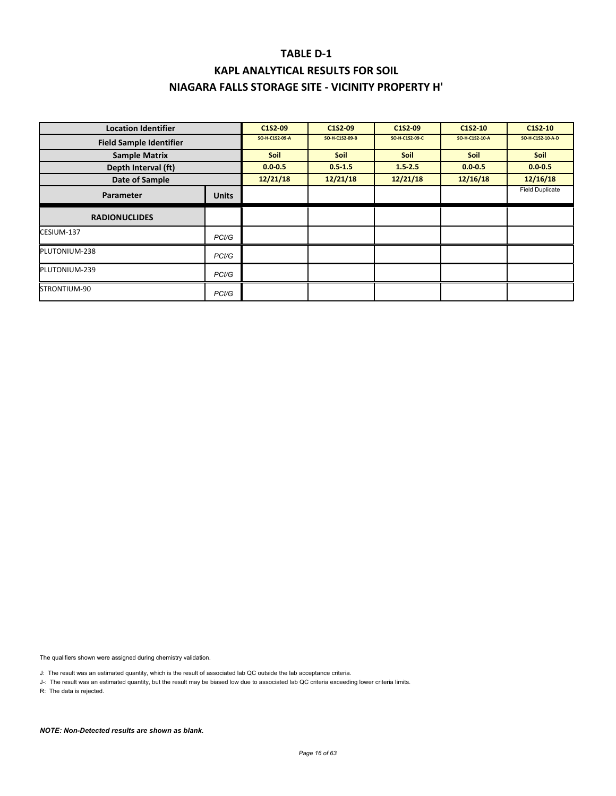| <b>Location Identifier</b>     |                    | C1S2-09        | C1S2-09        | C1S2-09        | C1S2-10        | C <sub>1</sub> S <sub>2</sub> -10 |
|--------------------------------|--------------------|----------------|----------------|----------------|----------------|-----------------------------------|
| <b>Field Sample Identifier</b> |                    | SO-H-C1S2-09-A | SO-H-C1S2-09-B | SO-H-C1S2-09-C | SO-H-C1S2-10-A | SO-H-C1S2-10-A-D                  |
| <b>Sample Matrix</b>           |                    | <b>Soil</b>    | <b>Soil</b>    | <b>Soil</b>    | Soil           | Soil                              |
| Depth Interval (ft)            |                    | $0.0 - 0.5$    | $0.5 - 1.5$    | $1.5 - 2.5$    | $0.0 - 0.5$    | $0.0 - 0.5$                       |
| Date of Sample                 |                    | 12/21/18       | 12/21/18       | 12/21/18       | 12/16/18       | 12/16/18                          |
| Parameter                      | <b>Units</b>       |                |                |                |                | <b>Field Duplicate</b>            |
| <b>RADIONUCLIDES</b>           |                    |                |                |                |                |                                   |
| CESIUM-137                     | PC <sub>1</sub> /G |                |                |                |                |                                   |
| PLUTONIUM-238                  | PCI/G              |                |                |                |                |                                   |
| PLUTONIUM-239                  | PCI/G              |                |                |                |                |                                   |
| STRONTIUM-90                   | PCI/G              |                |                |                |                |                                   |

The qualifiers shown were assigned during chemistry validation.

J: The result was an estimated quantity, which is the result of associated lab QC outside the lab acceptance criteria.

J-: The result was an estimated quantity, but the result may be biased low due to associated lab QC criteria exceeding lower criteria limits.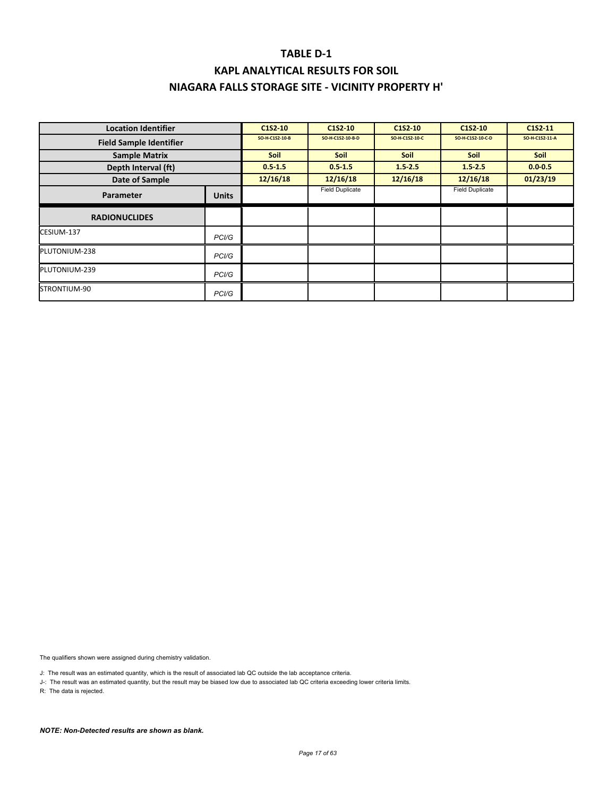| <b>Location Identifier</b>     |                    | C1S2-10        | C1S2-10                | C1S2-10        | C <sub>1</sub> S <sub>2</sub> -10 | C1S2 11        |
|--------------------------------|--------------------|----------------|------------------------|----------------|-----------------------------------|----------------|
| <b>Field Sample Identifier</b> |                    | SO-H-C1S2-10-B | SO-H-C1S2-10-B-D       | SO-H-C1S2-10-C | SO-H-C1S2-10-C-D                  | SO-H-C1S2-11-A |
| <b>Sample Matrix</b>           |                    | <b>Soil</b>    | <b>Soil</b>            | <b>Soil</b>    | <b>Soil</b>                       | <b>Soil</b>    |
| Depth Interval (ft)            |                    | $0.5 - 1.5$    | $0.5 - 1.5$            | $1.5 - 2.5$    | 1.52.5                            | $0.0 - 0.5$    |
| Date of Sample                 |                    | 12/16/18       | 12/16/18               | 12/16/18       | 12/16/18                          | 01/23/19       |
| Parameter                      | <b>Units</b>       |                | <b>Field Duplicate</b> |                | <b>Field Duplicate</b>            |                |
| <b>RADIONUCLIDES</b>           |                    |                |                        |                |                                   |                |
| CESIUM-137                     | PC <sub>1</sub> /G |                |                        |                |                                   |                |
| PLUTONIUM-238                  | PC <sub>1</sub> /G |                |                        |                |                                   |                |
| PLUTONIUM-239                  | PC <sub>1</sub> /G |                |                        |                |                                   |                |
| STRONTIUM-90                   | PCI/G              |                |                        |                |                                   |                |

The qualifiers shown were assigned during chemistry validation.

J: The result was an estimated quantity, which is the result of associated lab QC outside the lab acceptance criteria.

J-: The result was an estimated quantity, but the result may be biased low due to associated lab QC criteria exceeding lower criteria limits.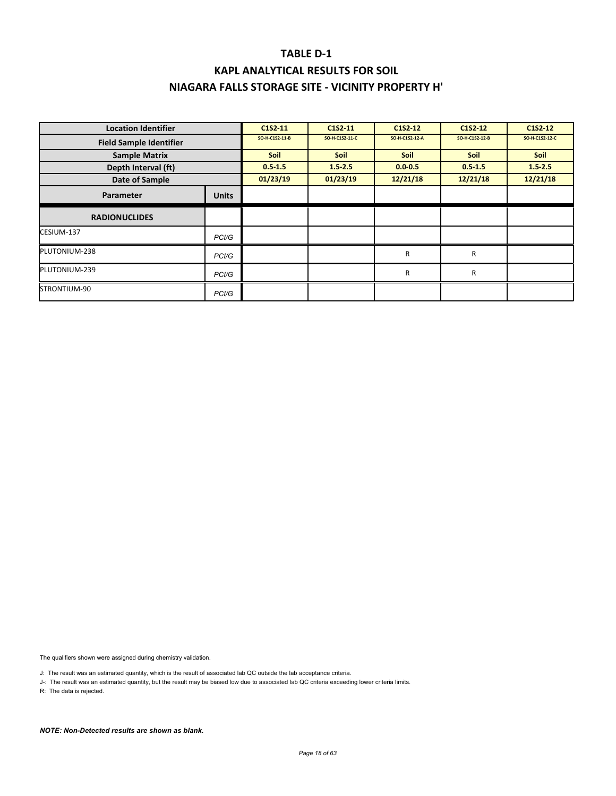### **TABLE D‐1 KAPL ANALYTICAL RESULTS FOR SOIL**

# **NIAGARA FALLS STORAGE SITE ‐ VICINITY PROPERTY H'**

| <b>Location Identifier</b>     |                    | C1S2-11        | C1S2 11        | C1S2 12        | C <sub>1</sub> S <sub>2</sub> -1 <sub>2</sub> | C1S2-12        |
|--------------------------------|--------------------|----------------|----------------|----------------|-----------------------------------------------|----------------|
| <b>Field Sample Identifier</b> |                    | SO-H-C1S2-11-B | SO-H-C1S2-11-C | SO-H-C1S2-12-A | SO-H-C1S2-12-B                                | SO-H-C1S2-12-C |
| <b>Sample Matrix</b>           |                    | Soil           | <b>Soil</b>    | Soil           | <b>Soil</b>                                   | Soil           |
| Depth Interval (ft)            |                    | $0.5 - 1.5$    | $1.5 - 2.5$    | $0.0 - 0.5$    | $0.5 - 1.5$                                   | $1.5 - 2.5$    |
| Date of Sample                 |                    | 01/23/19       | 01/23/19       | 12/21/18       | 12/21/18                                      | 12/21/18       |
| Parameter                      | <b>Units</b>       |                |                |                |                                               |                |
| <b>RADIONUCLIDES</b>           |                    |                |                |                |                                               |                |
| CESIUM-137                     | PCI/G              |                |                |                |                                               |                |
| PLUTONIUM-238                  | PCI/G              |                |                | R              | R                                             |                |
| PLUTONIUM-239                  | PCI/G              |                |                | R              | R                                             |                |
| STRONTIUM-90                   | PC <sub>1</sub> /G |                |                |                |                                               |                |

The qualifiers shown were assigned during chemistry validation.

J: The result was an estimated quantity, which is the result of associated lab QC outside the lab acceptance criteria.

J-: The result was an estimated quantity, but the result may be biased low due to associated lab QC criteria exceeding lower criteria limits.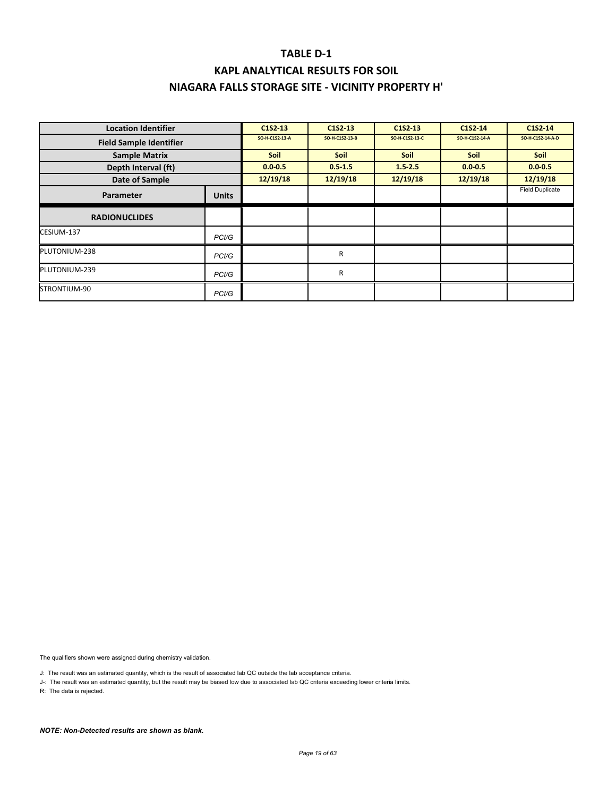### **KAPL ANALYTICAL RESULTS FOR SOIL NIAGARA FALLS STORAGE SITE ‐ VICINITY PROPERTY H'**

| <b>Location Identifier</b>     |                    | C <sub>1</sub> S <sub>2</sub> 13 | C1S2 13        | C1S2-13        | C1S2-14        | C1S2-14                |
|--------------------------------|--------------------|----------------------------------|----------------|----------------|----------------|------------------------|
| <b>Field Sample Identifier</b> |                    | SO-H-C1S2-13-A                   | SO-H-C1S2-13-B | SO-H-C1S2-13-C | SO-H-C1S2-14-A | SO-H-C1S2-14-A-D       |
| <b>Sample Matrix</b>           |                    | <b>Soil</b>                      | <b>Soil</b>    | <b>Soil</b>    | <b>Soil</b>    | <b>Soil</b>            |
| Depth Interval (ft)            |                    | $0.0 - 0.5$                      | $0.5 - 1.5$    | $1.5 - 2.5$    | $0.0 - 0.5$    | $0.0 - 0.5$            |
| Date of Sample                 |                    | 12/19/18                         | 12/19/18       | 12/19/18       | 12/19/18       | 12/19/18               |
| Parameter                      | <b>Units</b>       |                                  |                |                |                | <b>Field Duplicate</b> |
| <b>RADIONUCLIDES</b>           |                    |                                  |                |                |                |                        |
| CESIUM-137                     | PC <sub>1</sub> /G |                                  |                |                |                |                        |
| PLUTONIUM-238                  | PCI/G              |                                  | R              |                |                |                        |
| PLUTONIUM-239                  | PC <sub>1</sub> /G |                                  | R              |                |                |                        |
| STRONTIUM-90                   | PCI/G              |                                  |                |                |                |                        |

The qualifiers shown were assigned during chemistry validation.

J: The result was an estimated quantity, which is the result of associated lab QC outside the lab acceptance criteria.

J-: The result was an estimated quantity, but the result may be biased low due to associated lab QC criteria exceeding lower criteria limits.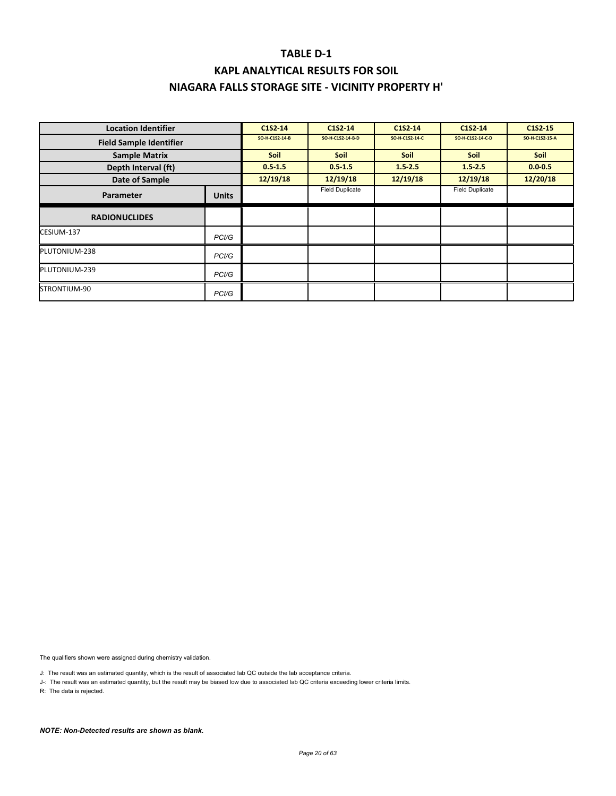| <b>Location Identifier</b>     |              | C1S2-14        | C1S2-14                | C1S2 14        | C <sub>1</sub> S <sub>2</sub> 14 | C <sub>1</sub> S <sub>2</sub> - 15 |
|--------------------------------|--------------|----------------|------------------------|----------------|----------------------------------|------------------------------------|
| <b>Field Sample Identifier</b> |              | SO-H-C1S2-14-B | SO-H-C1S2-14-B-D       | SO-H-C1S2-14-C | SO-H-C1S2-14-C-D                 | SO-H-C1S2-15-A                     |
| <b>Sample Matrix</b>           |              | <b>Soil</b>    | <b>Soil</b>            | <b>Soil</b>    | <b>Soil</b>                      | <b>Soil</b>                        |
| Depth Interval (ft)            |              | $0.5 - 1.5$    | $0.5 - 1.5$            | $1.5 - 2.5$    | $1.5 - 2.5$                      | $0.0 - 0.5$                        |
| Date of Sample                 |              | 12/19/18       | 12/19/18               | 12/19/18       | 12/19/18                         | 12/20/18                           |
| Parameter                      | <b>Units</b> |                | <b>Field Duplicate</b> |                | <b>Field Duplicate</b>           |                                    |
| <b>RADIONUCLIDES</b>           |              |                |                        |                |                                  |                                    |
| CESIUM-137                     | PCI/G        |                |                        |                |                                  |                                    |
| PLUTONIUM-238                  | PCI/G        |                |                        |                |                                  |                                    |
| PLUTONIUM-239                  | PCI/G        |                |                        |                |                                  |                                    |
| STRONTIUM-90                   | PCI/G        |                |                        |                |                                  |                                    |

The qualifiers shown were assigned during chemistry validation.

J: The result was an estimated quantity, which is the result of associated lab QC outside the lab acceptance criteria.

J-: The result was an estimated quantity, but the result may be biased low due to associated lab QC criteria exceeding lower criteria limits.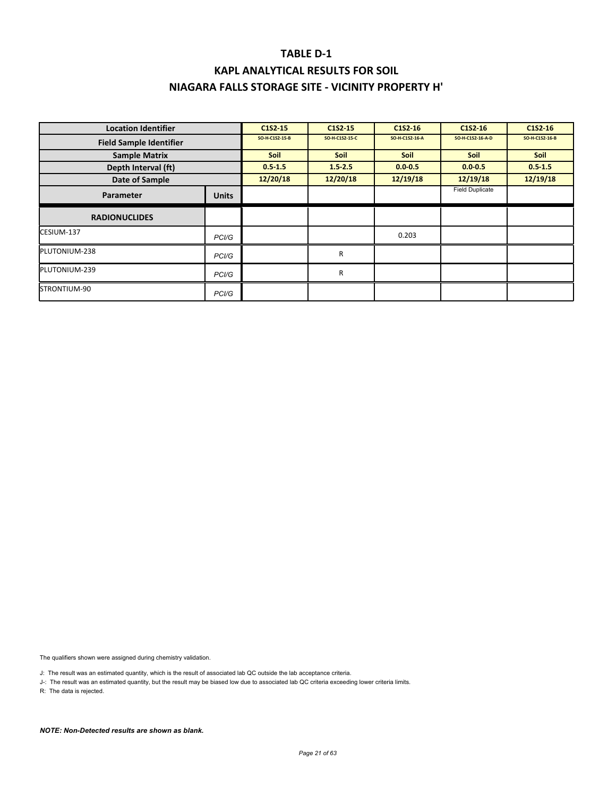# **KAPL ANALYTICAL RESULTS FOR SOIL NIAGARA FALLS STORAGE SITE ‐ VICINITY PROPERTY H'**

| <b>Location Identifier</b>     |                    | C <sub>1</sub> S <sub>2</sub> 15 | C1S2 15        | C <sub>152</sub> -16 | C <sub>1</sub> S <sub>2</sub> 16 | C1S2-16        |
|--------------------------------|--------------------|----------------------------------|----------------|----------------------|----------------------------------|----------------|
| <b>Field Sample Identifier</b> |                    | SO-H-C1S2-15-B                   | SO-H-C1S2-15-C | SO-H-C1S2-16-A       | SO-H-C1S2-16-A-D                 | SO-H-C1S2-16-B |
| <b>Sample Matrix</b>           |                    | <b>Soil</b>                      | <b>Soil</b>    | <b>Soil</b>          | <b>Soil</b>                      | Soil           |
| Depth Interval (ft)            |                    | $0.5 - 1.5$                      | $1.5 - 2.5$    | $0.0 - 0.5$          | $0.0 - 0.5$                      | $0.5 - 1.5$    |
| Date of Sample                 |                    | 12/20/18                         | 12/20/18       | 12/19/18             | 12/19/18                         | 12/19/18       |
| Parameter                      | <b>Units</b>       |                                  |                |                      | <b>Field Duplicate</b>           |                |
| <b>RADIONUCLIDES</b>           |                    |                                  |                |                      |                                  |                |
| CESIUM-137                     | PCI/G              |                                  |                | 0.203                |                                  |                |
| PLUTONIUM-238                  | PCI/G              |                                  | R              |                      |                                  |                |
| PLUTONIUM-239                  | PCI/G              |                                  | R              |                      |                                  |                |
| STRONTIUM-90                   | PC <sub>1</sub> /G |                                  |                |                      |                                  |                |

The qualifiers shown were assigned during chemistry validation.

J: The result was an estimated quantity, which is the result of associated lab QC outside the lab acceptance criteria.

J-: The result was an estimated quantity, but the result may be biased low due to associated lab QC criteria exceeding lower criteria limits.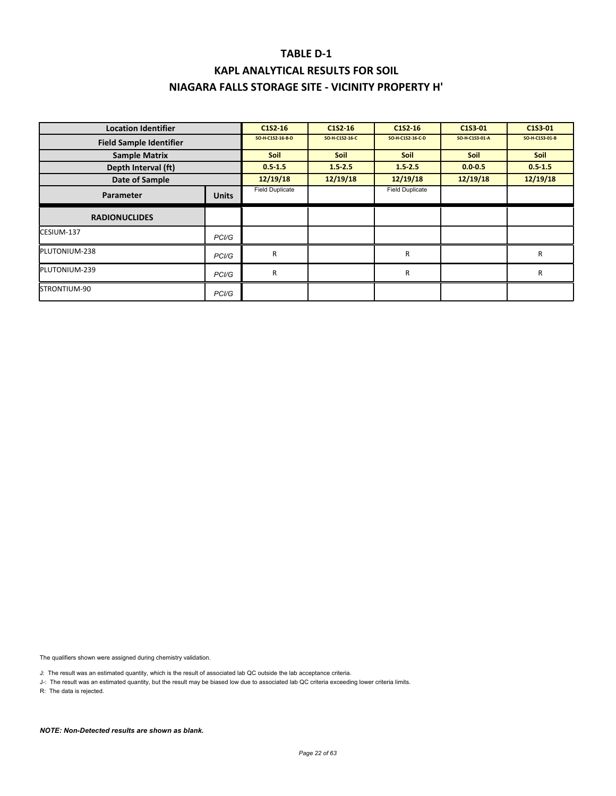### **KAPL ANALYTICAL RESULTS FOR SOIL NIAGARA FALLS STORAGE SITE ‐ VICINITY PROPERTY H'**

| <b>Location Identifier</b>     |                    | C <sub>1</sub> S <sub>2</sub> -16 | C1S2-16        | C1S2-16                | C1S3-01        | C1S3-01        |
|--------------------------------|--------------------|-----------------------------------|----------------|------------------------|----------------|----------------|
| <b>Field Sample Identifier</b> |                    | SO-H-C1S2-16-B-D                  | SO-H-C1S2-16-C | SO-H-C1S2-16-C-D       | SO-H-C1S3-01-A | SO-H-C1S3-01-B |
| <b>Sample Matrix</b>           |                    | <b>Soil</b>                       | <b>Soil</b>    | <b>Soil</b>            | <b>Soil</b>    | <b>Soil</b>    |
| Depth Interval (ft)            |                    | $0.5 - 1.5$                       | $1.5 - 2.5$    | $1.5 - 2.5$            | $0.0 - 0.5$    | $0.5 - 1.5$    |
| Date of Sample                 |                    | 12/19/18                          | 12/19/18       | 12/19/18               | 12/19/18       | 12/19/18       |
| Parameter                      | <b>Units</b>       | <b>Field Duplicate</b>            |                | <b>Field Duplicate</b> |                |                |
| <b>RADIONUCLIDES</b>           |                    |                                   |                |                        |                |                |
| CESIUM-137                     | PC <sub>1</sub> /G |                                   |                |                        |                |                |
| PLUTONIUM-238                  | PC <sub>1</sub> /G | R                                 |                | R                      |                | R              |
| PLUTONIUM-239                  | PCI/G              | R                                 |                | R                      |                | R              |
| STRONTIUM-90                   | PCI/G              |                                   |                |                        |                |                |

The qualifiers shown were assigned during chemistry validation.

J: The result was an estimated quantity, which is the result of associated lab QC outside the lab acceptance criteria.

J-: The result was an estimated quantity, but the result may be biased low due to associated lab QC criteria exceeding lower criteria limits.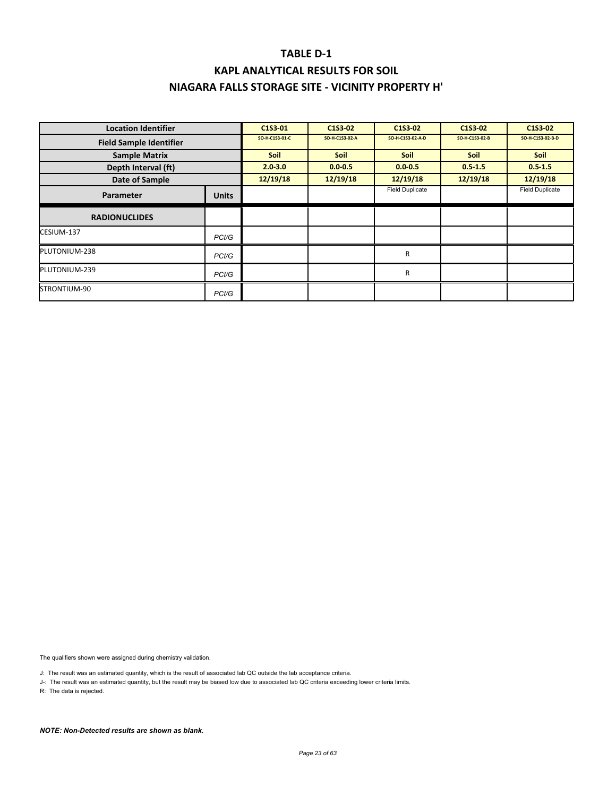### **KAPL ANALYTICAL RESULTS FOR SOIL NIAGARA FALLS STORAGE SITE ‐ VICINITY PROPERTY H'**

| <b>Location Identifier</b>     |                    | C1S3-01        | C1S3-02        | C1S3-02                | C1S3-02        | C1S3-02                |
|--------------------------------|--------------------|----------------|----------------|------------------------|----------------|------------------------|
| <b>Field Sample Identifier</b> |                    | SO-H-C1S3-01-C | SO-H-C1S3-02-A | SO-H-C1S3-02-A-D       | SO-H-C1S3-02-B | SO-H-C1S3-02-B-D       |
| <b>Sample Matrix</b>           |                    | <b>Soil</b>    | <b>Soil</b>    | <b>Soil</b>            | <b>Soil</b>    | <b>Soil</b>            |
| Depth Interval (ft)            |                    | $2.0 - 3.0$    | $0.0 - 0.5$    | $0.0 - 0.5$            | $0.5 - 1.5$    | $0.5 - 1.5$            |
| Date of Sample                 |                    | 12/19/18       | 12/19/18       | 12/19/18               | 12/19/18       | 12/19/18               |
| Parameter                      | <b>Units</b>       |                |                | <b>Field Duplicate</b> |                | <b>Field Duplicate</b> |
| <b>RADIONUCLIDES</b>           |                    |                |                |                        |                |                        |
| CESIUM-137                     | PC <sub>1</sub> /G |                |                |                        |                |                        |
| PLUTONIUM-238                  | PC <sub>1</sub> /G |                |                | R                      |                |                        |
| PLUTONIUM-239                  | PCI/G              |                |                | R                      |                |                        |
| STRONTIUM-90                   | PC <sub>1</sub> /G |                |                |                        |                |                        |

The qualifiers shown were assigned during chemistry validation.

J: The result was an estimated quantity, which is the result of associated lab QC outside the lab acceptance criteria.

J-: The result was an estimated quantity, but the result may be biased low due to associated lab QC criteria exceeding lower criteria limits.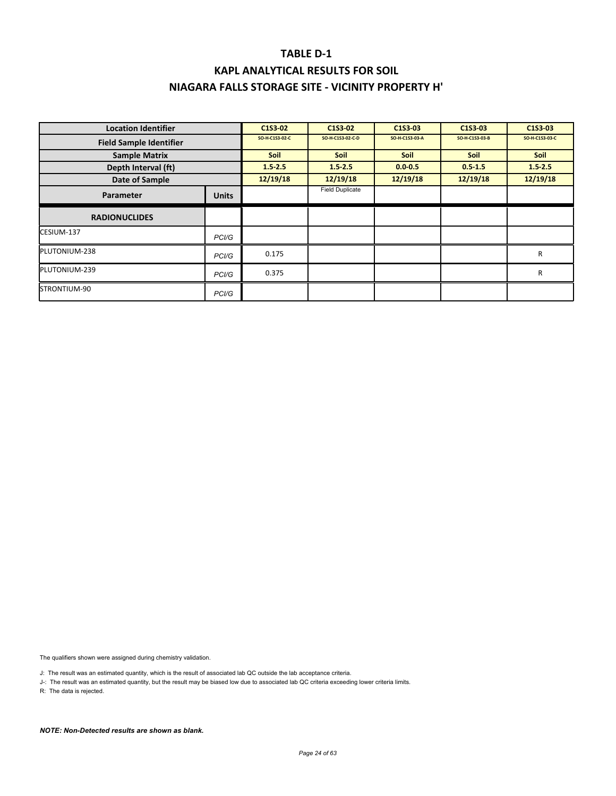### **KAPL ANALYTICAL RESULTS FOR SOIL NIAGARA FALLS STORAGE SITE ‐ VICINITY PROPERTY H'**

| <b>Location Identifier</b>     |                    | C1S3-02        | C1S3-02                | C1S3-03        | C1S3-03        | C1S3-03        |
|--------------------------------|--------------------|----------------|------------------------|----------------|----------------|----------------|
| <b>Field Sample Identifier</b> |                    | SO-H-C1S3-02-C | SO-H-C1S3-02-C-D       | SO-H-C1S3-03-A | SO-H-C1S3-03-B | SO-H-C1S3-03-C |
| <b>Sample Matrix</b>           |                    | <b>Soil</b>    | <b>Soil</b>            | <b>Soil</b>    | <b>Soil</b>    | <b>Soil</b>    |
| Depth Interval (ft)            |                    | $1.5 - 2.5$    | $1.5 - 2.5$            | $0.0 - 0.5$    | $0.5 - 1.5$    | $1.5 - 2.5$    |
| Date of Sample                 |                    | 12/19/18       | 12/19/18               | 12/19/18       | 12/19/18       | 12/19/18       |
| Parameter                      | <b>Units</b>       |                | <b>Field Duplicate</b> |                |                |                |
| <b>RADIONUCLIDES</b>           |                    |                |                        |                |                |                |
| CESIUM-137                     | PC <sub>1</sub> /G |                |                        |                |                |                |
| PLUTONIUM-238                  | PCI/G              | 0.175          |                        |                |                | R              |
| PLUTONIUM-239                  | PC <sub>1</sub> /G | 0.375          |                        |                |                | R              |
| STRONTIUM-90                   | PCI/G              |                |                        |                |                |                |

The qualifiers shown were assigned during chemistry validation.

J: The result was an estimated quantity, which is the result of associated lab QC outside the lab acceptance criteria.

J-: The result was an estimated quantity, but the result may be biased low due to associated lab QC criteria exceeding lower criteria limits.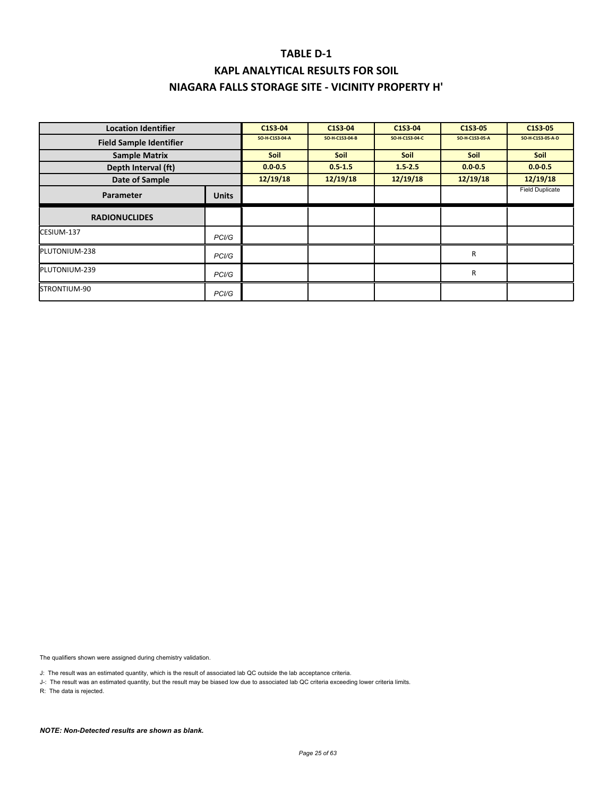| <b>Location Identifier</b>     |                    | C1S3-04        | C1S3-04        | C1S3-04        | C1S3-05        | C1S3-05                |
|--------------------------------|--------------------|----------------|----------------|----------------|----------------|------------------------|
| <b>Field Sample Identifier</b> |                    | SO-H-C1S3-04-A | SO-H-C1S3-04-B | SO-H-C1S3-04-C | SO-H-C1S3-05-A | SO-H-C1S3-05-A-D       |
| <b>Sample Matrix</b>           |                    | <b>Soil</b>    | <b>Soil</b>    | <b>Soil</b>    | <b>Soil</b>    | <b>Soil</b>            |
| Depth Interval (ft)            |                    | $0.0 - 0.5$    | $0.5 - 1.5$    | $1.5 - 2.5$    | $0.0 - 0.5$    | $0.0 - 0.5$            |
| Date of Sample                 |                    | 12/19/18       | 12/19/18       | 12/19/18       | 12/19/18       | 12/19/18               |
| Parameter                      | <b>Units</b>       |                |                |                |                | <b>Field Duplicate</b> |
| <b>RADIONUCLIDES</b>           |                    |                |                |                |                |                        |
| CESIUM-137                     | PC <sub>1</sub> /G |                |                |                |                |                        |
| PLUTONIUM-238                  | PC <sub>1</sub> /G |                |                |                | $\mathsf{R}$   |                        |
| PLUTONIUM-239                  | PCI/G              |                |                |                | R              |                        |
| STRONTIUM-90                   | PCI/G              |                |                |                |                |                        |

The qualifiers shown were assigned during chemistry validation.

J: The result was an estimated quantity, which is the result of associated lab QC outside the lab acceptance criteria.

J-: The result was an estimated quantity, but the result may be biased low due to associated lab QC criteria exceeding lower criteria limits.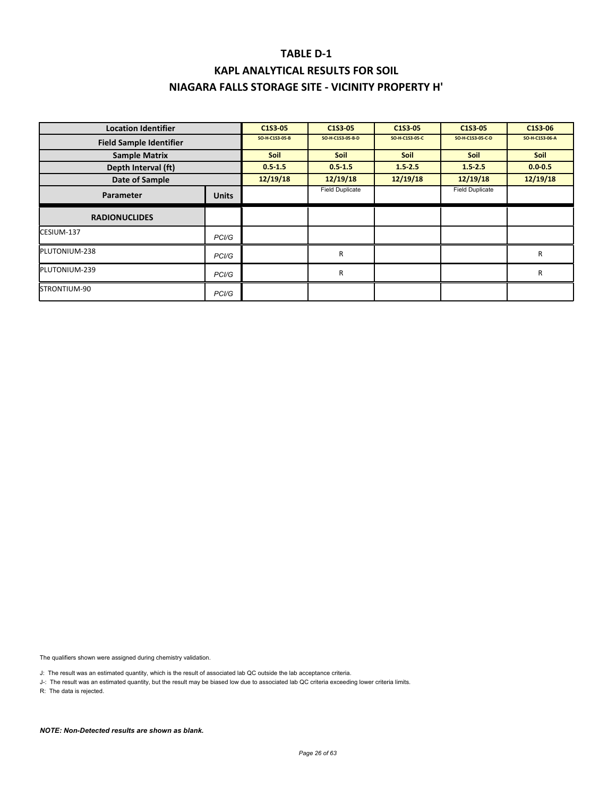### **KAPL ANALYTICAL RESULTS FOR SOIL NIAGARA FALLS STORAGE SITE ‐ VICINITY PROPERTY H'**

| <b>Location Identifier</b>     |                    | C1S3-05        | C1S3-05                | C1S3-05        | C1S3-05                | C1S3-06        |
|--------------------------------|--------------------|----------------|------------------------|----------------|------------------------|----------------|
| <b>Field Sample Identifier</b> |                    | SO-H-C1S3-05-B | SO-H-C1S3-05-B-D       | SO-H-C1S3-05-C | SO-H-C1S3-05-C-D       | SO-H-C1S3-06-A |
| <b>Sample Matrix</b>           |                    | <b>Soil</b>    | <b>Soil</b>            | <b>Soil</b>    | <b>Soil</b>            | <b>Soil</b>    |
| Depth Interval (ft)            |                    | $0.5 - 1.5$    | $0.5 - 1.5$            | $1.5 - 2.5$    | $1.5 - 2.5$            | $0.0 - 0.5$    |
| Date of Sample                 |                    | 12/19/18       | 12/19/18               | 12/19/18       | 12/19/18               | 12/19/18       |
| Parameter                      | <b>Units</b>       |                | <b>Field Duplicate</b> |                | <b>Field Duplicate</b> |                |
| <b>RADIONUCLIDES</b>           |                    |                |                        |                |                        |                |
| CESIUM-137                     | PC <sub>1</sub> /G |                |                        |                |                        |                |
| PLUTONIUM-238                  | PCI/G              |                | R                      |                |                        | R              |
| PLUTONIUM-239                  | PC <sub>1</sub> /G |                | R                      |                |                        | R              |
| STRONTIUM-90                   | PCI/G              |                |                        |                |                        |                |

The qualifiers shown were assigned during chemistry validation.

J: The result was an estimated quantity, which is the result of associated lab QC outside the lab acceptance criteria.

J-: The result was an estimated quantity, but the result may be biased low due to associated lab QC criteria exceeding lower criteria limits.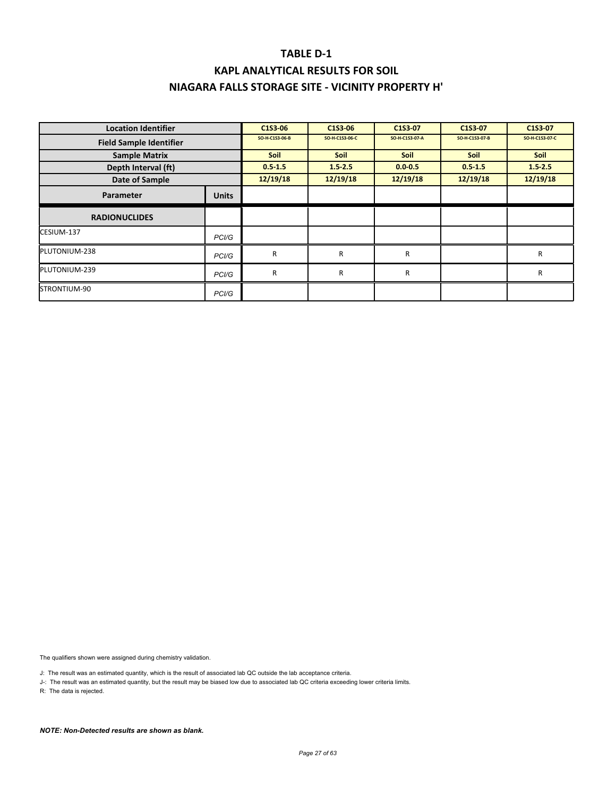# **KAPL ANALYTICAL RESULTS FOR SOIL NIAGARA FALLS STORAGE SITE ‐ VICINITY PROPERTY H'**

| <b>Location Identifier</b>     |                    | C1S3-06        | C1S3-06        | C1S3-07        | C1S3-07        | C1S3-07        |
|--------------------------------|--------------------|----------------|----------------|----------------|----------------|----------------|
| <b>Field Sample Identifier</b> |                    | SO-H-C1S3-06-B | SO-H-C1S3-06-C | SO-H-C1S3-07-A | SO-H-C1S3-07-B | SO-H-C1S3-07-C |
| <b>Sample Matrix</b>           |                    | <b>Soil</b>    | <b>Soil</b>    | Soil           | <b>Soil</b>    | <b>Soil</b>    |
| Depth Interval (ft)            |                    | $0.5 - 1.5$    | 1.52.5         | $0.0 - 0.5$    | $0.5 - 1.5$    | $1.5 - 2.5$    |
| Date of Sample                 |                    | 12/19/18       | 12/19/18       | 12/19/18       | 12/19/18       | 12/19/18       |
| Parameter                      | <b>Units</b>       |                |                |                |                |                |
| <b>RADIONUCLIDES</b>           |                    |                |                |                |                |                |
| CESIUM-137                     | PC <sub>1</sub> /G |                |                |                |                |                |
| PLUTONIUM-238                  | PCI/G              | R              | R              | R              |                | R              |
| PLUTONIUM-239                  | PC <sub>1</sub> /G | R              | R              | R              |                | R              |
| STRONTIUM-90                   | PCI/G              |                |                |                |                |                |

The qualifiers shown were assigned during chemistry validation.

J: The result was an estimated quantity, which is the result of associated lab QC outside the lab acceptance criteria.

J-: The result was an estimated quantity, but the result may be biased low due to associated lab QC criteria exceeding lower criteria limits.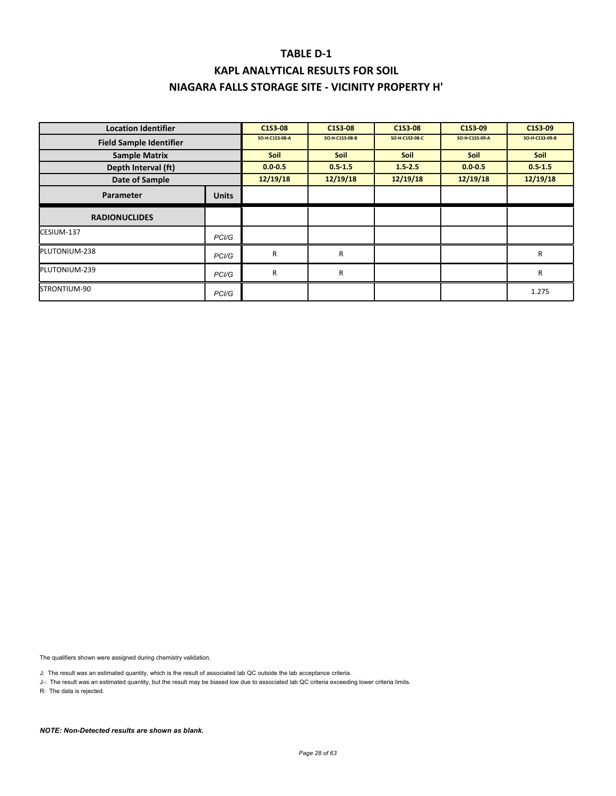### **KAPL ANALYTICAL RESULTS FOR SOIL NIAGARA FALLS STORAGE SITE ‐ VICINITY PROPERTY H'**

| <b>Location Identifier</b>     |                    | C1S3-08        | C1S3-08        | C1S3-08        | C1S3-09        | C1S3-09        |
|--------------------------------|--------------------|----------------|----------------|----------------|----------------|----------------|
| <b>Field Sample Identifier</b> |                    | SO-H-C1S3-08-A | SO-H-C1S3-08-B | SO-H-C1S3-08-C | SO-H-C1S3-09-A | SO-H-C1S3-09-B |
| <b>Sample Matrix</b>           |                    | <b>Soil</b>    | <b>Soil</b>    | <b>Soil</b>    | <b>Soil</b>    | <b>Soil</b>    |
| Depth Interval (ft)            |                    | $0.0 - 0.5$    | $0.5 - 1.5$    | $1.5 - 2.5$    | $0.0 - 0.5$    | $0.5 - 1.5$    |
| Date of Sample                 |                    | 12/19/18       | 12/19/18       | 12/19/18       | 12/19/18       | 12/19/18       |
| Parameter                      | <b>Units</b>       |                |                |                |                |                |
| <b>RADIONUCLIDES</b>           |                    |                |                |                |                |                |
| CESIUM-137                     | PC <sub>1</sub> /G |                |                |                |                |                |
| PLUTONIUM-238                  | PC <sub>1</sub> /G | R              | R              |                |                | R              |
| PLUTONIUM-239                  | PCI/G              | R              | R              |                |                | R              |
| STRONTIUM-90                   | PC <sub>1</sub> /G |                |                |                |                | 1.275          |

The qualifiers shown were assigned during chemistry validation.

J: The result was an estimated quantity, which is the result of associated lab QC outside the lab acceptance criteria.

J-: The result was an estimated quantity, but the result may be biased low due to associated lab QC criteria exceeding lower criteria limits.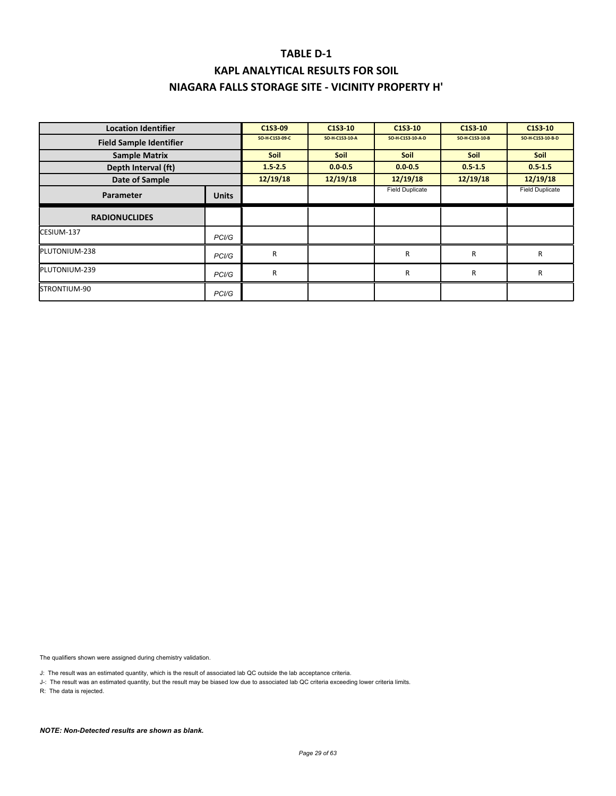# **KAPL ANALYTICAL RESULTS FOR SOIL NIAGARA FALLS STORAGE SITE ‐ VICINITY PROPERTY H'**

| <b>Location Identifier</b>     |                    | C1S3-09        | C1S3-10        | C1S3-10                | C1S3-10        | C1S3-10                |
|--------------------------------|--------------------|----------------|----------------|------------------------|----------------|------------------------|
| <b>Field Sample Identifier</b> |                    | SO-H-C1S3-09-C | SO-H-C1S3-10-A | SO-H-C1S3-10-A-D       | SO-H-C1S3-10-B | SO-H-C1S3-10-B-D       |
| <b>Sample Matrix</b>           |                    | <b>Soil</b>    | <b>Soil</b>    | <b>Soil</b>            | <b>Soil</b>    | <b>Soil</b>            |
| Depth Interval (ft)            |                    | $1.5 - 2.5$    | $0.0 - 0.5$    | $0.0 - 0.5$            | $0.5 - 1.5$    | $0.5 - 1.5$            |
| Date of Sample                 |                    | 12/19/18       | 12/19/18       | 12/19/18               | 12/19/18       | 12/19/18               |
| Parameter                      | <b>Units</b>       |                |                | <b>Field Duplicate</b> |                | <b>Field Duplicate</b> |
| <b>RADIONUCLIDES</b>           |                    |                |                |                        |                |                        |
| CESIUM-137                     | PC <sub>1</sub> /G |                |                |                        |                |                        |
| PLUTONIUM-238                  | PC <sub>1</sub> /G | R              |                | R                      | R              | R                      |
| PLUTONIUM-239                  | PC <sub>1</sub> /G | R              |                | R                      | R              | R                      |
| STRONTIUM-90                   | PCI/G              |                |                |                        |                |                        |

The qualifiers shown were assigned during chemistry validation.

J: The result was an estimated quantity, which is the result of associated lab QC outside the lab acceptance criteria.

J-: The result was an estimated quantity, but the result may be biased low due to associated lab QC criteria exceeding lower criteria limits.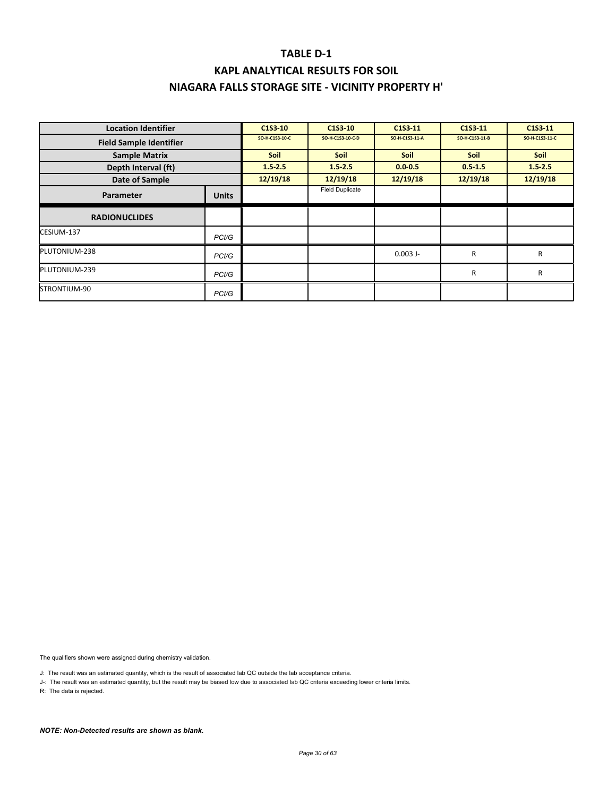### **KAPL ANALYTICAL RESULTS FOR SOIL NIAGARA FALLS STORAGE SITE ‐ VICINITY PROPERTY H'**

| <b>Location Identifier</b>     |                    | C1S3-10        | C1S3-10                | C1S3 11        | C1S3-11        | C1S3-11        |
|--------------------------------|--------------------|----------------|------------------------|----------------|----------------|----------------|
| <b>Field Sample Identifier</b> |                    | SO-H-C1S3-10-C | SO-H-C1S3-10-C-D       | SO-H-C1S3-11-A | SO-H-C1S3-11-B | SO-H-C1S3-11-C |
| <b>Sample Matrix</b>           |                    | <b>Soil</b>    | <b>Soil</b>            | <b>Soil</b>    | <b>Soil</b>    | <b>Soil</b>    |
| Depth Interval (ft)            |                    | $1.5 - 2.5$    | $1.5 - 2.5$            | $0.0 - 0.5$    | $0.5 - 1.5$    | $1.5 - 2.5$    |
| Date of Sample                 |                    | 12/19/18       | 12/19/18               | 12/19/18       | 12/19/18       | 12/19/18       |
| Parameter                      | <b>Units</b>       |                | <b>Field Duplicate</b> |                |                |                |
| <b>RADIONUCLIDES</b>           |                    |                |                        |                |                |                |
| CESIUM-137                     | PC <sub>1</sub> /G |                |                        |                |                |                |
| PLUTONIUM-238                  | PC <sub>1</sub> /G |                |                        | $0.003$ J-     | R              | R              |
| PLUTONIUM-239                  | PC <sub>1</sub> /G |                |                        |                | R              | R              |
| STRONTIUM-90                   | PC <sub>1</sub> /G |                |                        |                |                |                |

The qualifiers shown were assigned during chemistry validation.

J: The result was an estimated quantity, which is the result of associated lab QC outside the lab acceptance criteria.

J-: The result was an estimated quantity, but the result may be biased low due to associated lab QC criteria exceeding lower criteria limits.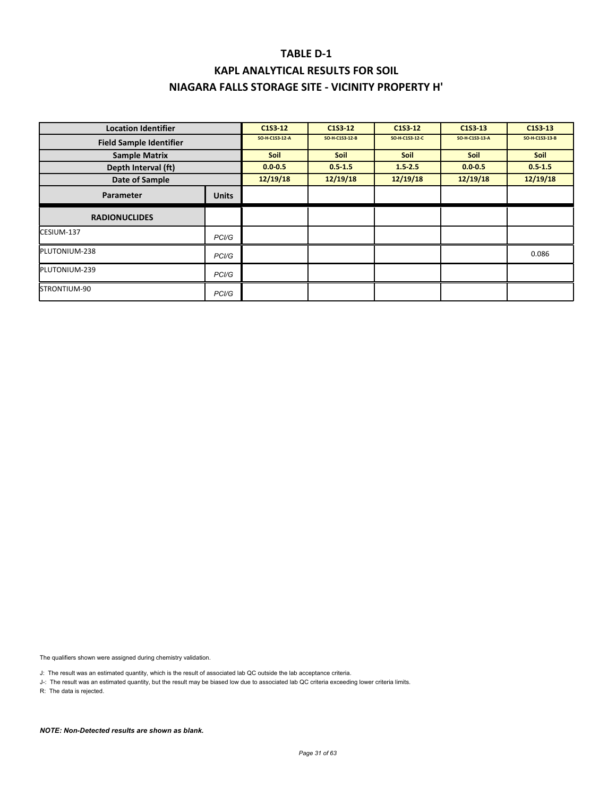| <b>Location Identifier</b>     |                    | C1S3-12        | C <sub>1</sub> S <sub>3</sub> -1 <sub>2</sub> | C1S3-12        | C1S3 13        | C1S3 13        |
|--------------------------------|--------------------|----------------|-----------------------------------------------|----------------|----------------|----------------|
| <b>Field Sample Identifier</b> |                    | SO-H-C1S3-12-A | SO-H-C1S3-12-B                                | SO-H-C1S3-12-C | SO-H-C1S3-13-A | SO-H-C1S3-13-B |
| <b>Sample Matrix</b>           |                    | <b>Soil</b>    | <b>Soil</b>                                   | <b>Soil</b>    | Soil           | <b>Soil</b>    |
| Depth Interval (ft)            |                    | $0.0 - 0.5$    | $0.5 - 1.5$                                   | $1.5 - 2.5$    | $0.0 - 0.5$    | $0.5 - 1.5$    |
| Date of Sample                 |                    | 12/19/18       | 12/19/18                                      | 12/19/18       | 12/19/18       | 12/19/18       |
| Parameter                      | <b>Units</b>       |                |                                               |                |                |                |
| <b>RADIONUCLIDES</b>           |                    |                |                                               |                |                |                |
| CESIUM-137                     | PC <sub>1</sub> /G |                |                                               |                |                |                |
| PLUTONIUM-238                  | PCI/G              |                |                                               |                |                | 0.086          |
| PLUTONIUM-239                  | PCI/G              |                |                                               |                |                |                |
| STRONTIUM-90                   | PCI/G              |                |                                               |                |                |                |

The qualifiers shown were assigned during chemistry validation.

J: The result was an estimated quantity, which is the result of associated lab QC outside the lab acceptance criteria.

J-: The result was an estimated quantity, but the result may be biased low due to associated lab QC criteria exceeding lower criteria limits.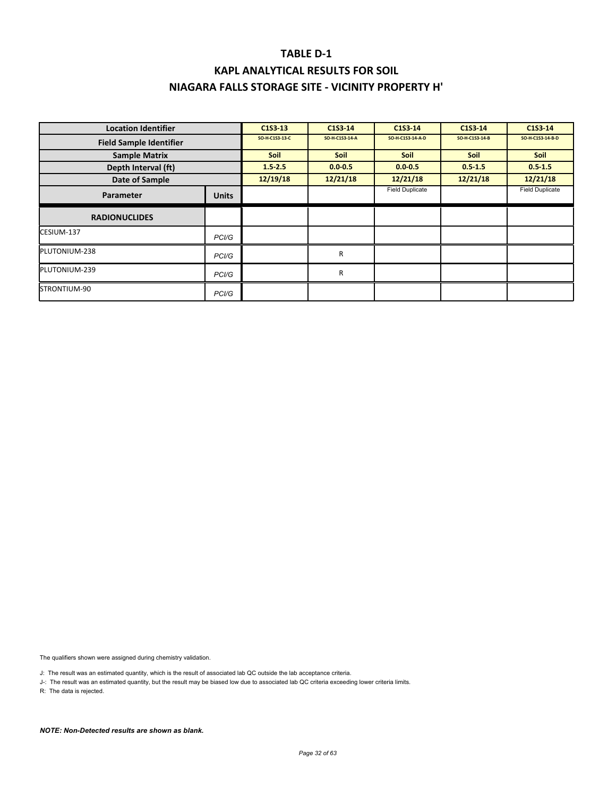# **KAPL ANALYTICAL RESULTS FOR SOIL NIAGARA FALLS STORAGE SITE ‐ VICINITY PROPERTY H'**

| <b>Location Identifier</b>     |                    | C1S3 13        | C1S3-14        | C1S3-14                | C1S3-14        | C1S3-14                |
|--------------------------------|--------------------|----------------|----------------|------------------------|----------------|------------------------|
| <b>Field Sample Identifier</b> |                    | SO-H-C1S3-13-C | SO-H-C1S3-14-A | SO-H-C1S3-14-A-D       | SO-H-C1S3-14-B | SO-H-C1S3-14-B-D       |
| <b>Sample Matrix</b>           |                    | <b>Soil</b>    | <b>Soil</b>    | <b>Soil</b>            | <b>Soil</b>    | <b>Soil</b>            |
| Depth Interval (ft)            |                    | $1.5 - 2.5$    | $0.0 - 0.5$    | $0.0 - 0.5$            | $0.5 - 1.5$    | $0.5 - 1.5$            |
| Date of Sample                 |                    | 12/19/18       | 12/21/18       | 12/21/18               | 12/21/18       | 12/21/18               |
| Parameter                      | <b>Units</b>       |                |                | <b>Field Duplicate</b> |                | <b>Field Duplicate</b> |
| <b>RADIONUCLIDES</b>           |                    |                |                |                        |                |                        |
| CESIUM-137                     | PC <sub>1</sub> /G |                |                |                        |                |                        |
| PLUTONIUM-238                  | PCI/G              |                | R              |                        |                |                        |
| PLUTONIUM-239                  | PC <sub>1</sub> /G |                | R              |                        |                |                        |
| STRONTIUM-90                   | PCI/G              |                |                |                        |                |                        |

The qualifiers shown were assigned during chemistry validation.

J: The result was an estimated quantity, which is the result of associated lab QC outside the lab acceptance criteria.

J-: The result was an estimated quantity, but the result may be biased low due to associated lab QC criteria exceeding lower criteria limits.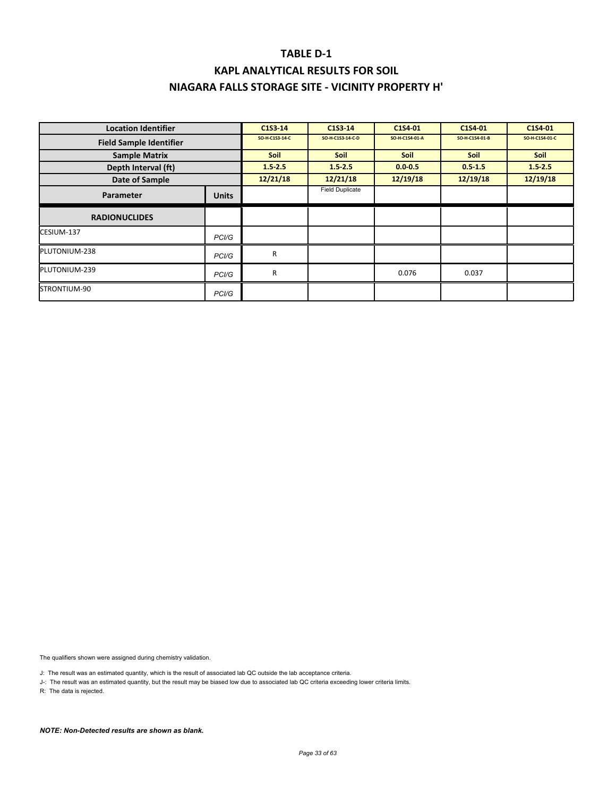### **KAPL ANALYTICAL RESULTS FOR SOIL NIAGARA FALLS STORAGE SITE ‐ VICINITY PROPERTY H'**

| <b>Location Identifier</b>     |                    | C1S3-14        | C1S3-14                | C1S4-01        | C1S4-01        | C1S4-01        |
|--------------------------------|--------------------|----------------|------------------------|----------------|----------------|----------------|
| <b>Field Sample Identifier</b> |                    | SO-H-C1S3-14-C | SO-H-C1S3-14-C-D       | SO-H-C1S4-01-A | SO-H-C1S4-01-B | SO-H-C1S4-01-C |
| <b>Sample Matrix</b>           |                    | <b>Soil</b>    | <b>Soil</b>            | <b>Soil</b>    | <b>Soil</b>    | Soil           |
| Depth Interval (ft)            |                    | $1.5 - 2.5$    | $1.5 - 2.5$            | $0.0 - 0.5$    | $0.5 - 1.5$    | $1.5 - 2.5$    |
| Date of Sample                 |                    | 12/21/18       | 12/21/18               | 12/19/18       | 12/19/18       | 12/19/18       |
| Parameter                      | <b>Units</b>       |                | <b>Field Duplicate</b> |                |                |                |
| <b>RADIONUCLIDES</b>           |                    |                |                        |                |                |                |
| CESIUM-137                     | PC <sub>1</sub> /G |                |                        |                |                |                |
| PLUTONIUM-238                  | PCI/G              | $\mathsf{R}$   |                        |                |                |                |
| PLUTONIUM-239                  | PCI/G              | R              |                        | 0.076          | 0.037          |                |
| STRONTIUM-90                   | PCI/G              |                |                        |                |                |                |

The qualifiers shown were assigned during chemistry validation.

J: The result was an estimated quantity, which is the result of associated lab QC outside the lab acceptance criteria.

J-: The result was an estimated quantity, but the result may be biased low due to associated lab QC criteria exceeding lower criteria limits.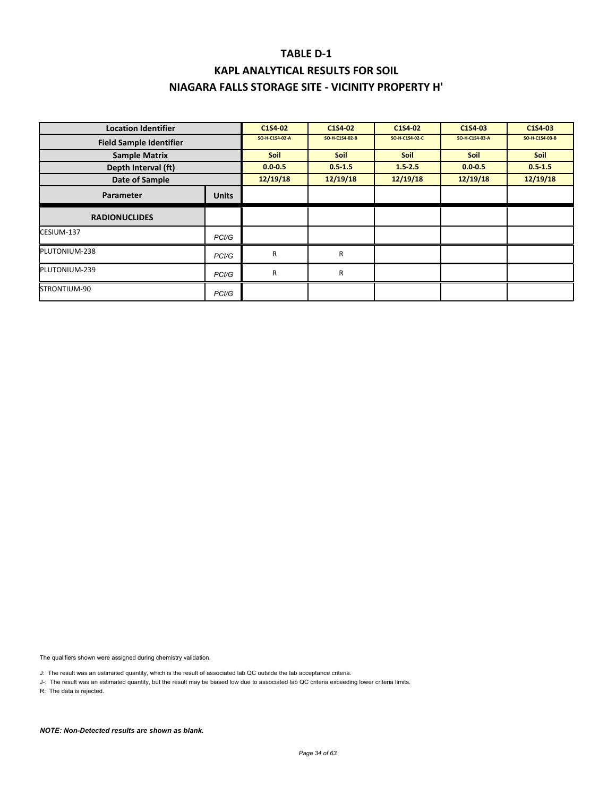### **KAPL ANALYTICAL RESULTS FOR SOIL NIAGARA FALLS STORAGE SITE ‐ VICINITY PROPERTY H'**

| <b>Location Identifier</b>     |                    | C1S4-02        | C1S4-02        | C1S4-02        | C1S4-03        | C1S4-03        |
|--------------------------------|--------------------|----------------|----------------|----------------|----------------|----------------|
| <b>Field Sample Identifier</b> |                    | SO-H-C1S4-02-A | SO-H-C1S4-02-B | SO-H-C1S4-02-C | SO-H-C1S4-03-A | SO-H-C1S4-03-B |
| <b>Sample Matrix</b>           |                    | <b>Soil</b>    | <b>Soil</b>    | <b>Soil</b>    | <b>Soil</b>    | <b>Soil</b>    |
| Depth Interval (ft)            |                    | $0.0 - 0.5$    | $0.5 - 1.5$    | $1.5 - 2.5$    | $0.0 - 0.5$    | $0.5 - 1.5$    |
| Date of Sample                 |                    | 12/19/18       | 12/19/18       | 12/19/18       | 12/19/18       | 12/19/18       |
| Parameter                      | <b>Units</b>       |                |                |                |                |                |
| <b>RADIONUCLIDES</b>           |                    |                |                |                |                |                |
| CESIUM-137                     | PCI/G              |                |                |                |                |                |
| PLUTONIUM-238                  | PC <sub>1</sub> /G | $\mathsf{R}$   | R              |                |                |                |
| PLUTONIUM-239                  | PC <sub>1</sub> /G | R              | R              |                |                |                |
| STRONTIUM-90                   | PCI/G              |                |                |                |                |                |

The qualifiers shown were assigned during chemistry validation.

J: The result was an estimated quantity, which is the result of associated lab QC outside the lab acceptance criteria.

J-: The result was an estimated quantity, but the result may be biased low due to associated lab QC criteria exceeding lower criteria limits.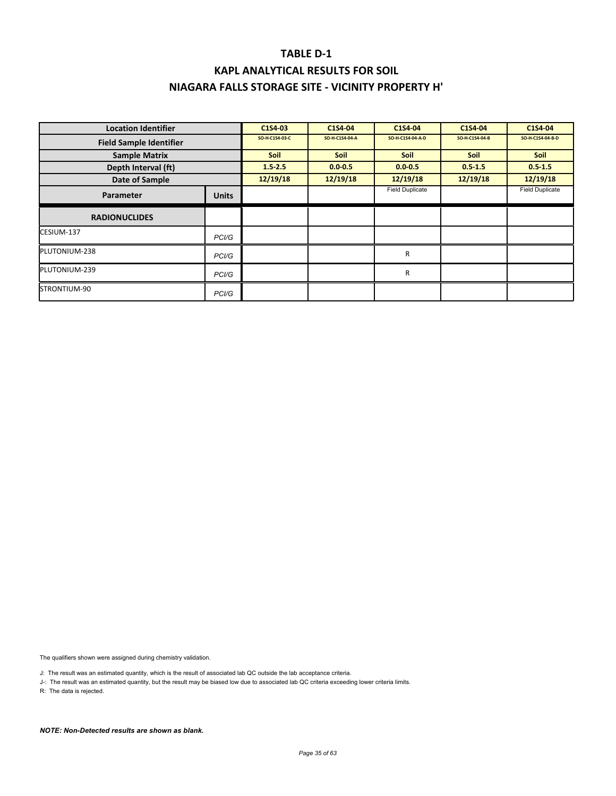### **KAPL ANALYTICAL RESULTS FOR SOIL NIAGARA FALLS STORAGE SITE ‐ VICINITY PROPERTY H'**

| <b>Location Identifier</b>     |                    | C1S4-03        | C1S4-04        | C1S4-04                | C1S4-04        | C1S4-04                |
|--------------------------------|--------------------|----------------|----------------|------------------------|----------------|------------------------|
| <b>Field Sample Identifier</b> |                    | SO-H-C1S4-03-C | SO-H-C1S4-04-A | SO-H-C1S4-04-A-D       | SO-H-C1S4-04-B | SO-H-C1S4-04-B-D       |
| <b>Sample Matrix</b>           |                    | <b>Soil</b>    | <b>Soil</b>    | <b>Soil</b>            | <b>Soil</b>    | Soil                   |
| Depth Interval (ft)            |                    | $1.5 - 2.5$    | $0.0 - 0.5$    | $0.0 - 0.5$            | $0.5 - 1.5$    | $0.5 - 1.5$            |
| Date of Sample                 |                    | 12/19/18       | 12/19/18       | 12/19/18               | 12/19/18       | 12/19/18               |
| Parameter                      | <b>Units</b>       |                |                | <b>Field Duplicate</b> |                | <b>Field Duplicate</b> |
| <b>RADIONUCLIDES</b>           |                    |                |                |                        |                |                        |
| CESIUM-137                     | PC <sub>1</sub> /G |                |                |                        |                |                        |
| PLUTONIUM-238                  | PC <sub>1</sub> /G |                |                | R                      |                |                        |
| PLUTONIUM-239                  | PC <sub>1</sub> /G |                |                | R                      |                |                        |
| STRONTIUM-90                   | PC <sub>1</sub> /G |                |                |                        |                |                        |

The qualifiers shown were assigned during chemistry validation.

J: The result was an estimated quantity, which is the result of associated lab QC outside the lab acceptance criteria.

J-: The result was an estimated quantity, but the result may be biased low due to associated lab QC criteria exceeding lower criteria limits.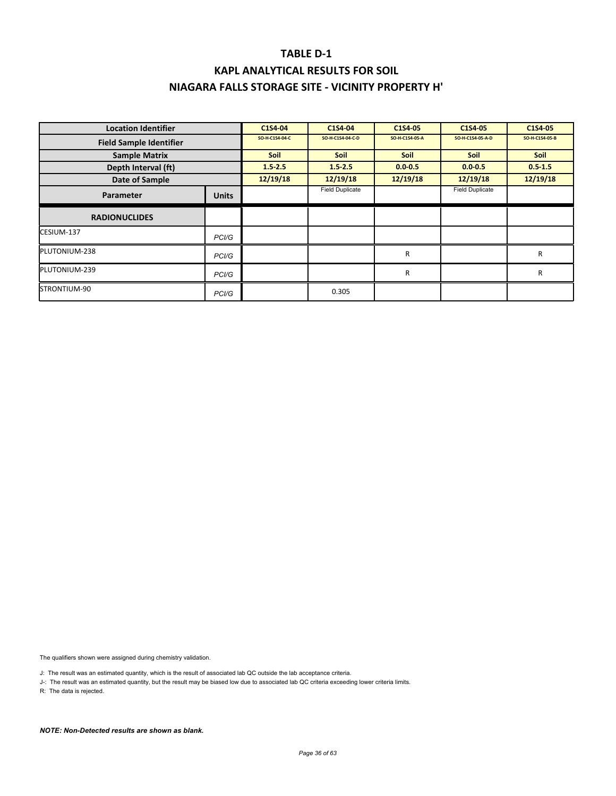| <b>Location Identifier</b>     |                    | C1S4-04        | C1S4-04                | C1S4-05        | C1S4-05                | C1S4-05        |
|--------------------------------|--------------------|----------------|------------------------|----------------|------------------------|----------------|
| <b>Field Sample Identifier</b> |                    | SO-H-C1S4-04-C | SO-H-C1S4-04-C-D       | SO-H-C1S4-05-A | SO-H-C1S4-05-A-D       | SO-H-C1S4-05-B |
| <b>Sample Matrix</b>           |                    | <b>Soil</b>    | <b>Soil</b>            | <b>Soil</b>    | <b>Soil</b>            | <b>Soil</b>    |
| Depth Interval (ft)            |                    | $1.5 - 2.5$    | $1.5 - 2.5$            | $0.0 - 0.5$    | $0.0 - 0.5$            | $0.5 - 1.5$    |
| Date of Sample                 |                    | 12/19/18       | 12/19/18               | 12/19/18       | 12/19/18               | 12/19/18       |
| Parameter                      | <b>Units</b>       |                | <b>Field Duplicate</b> |                | <b>Field Duplicate</b> |                |
| <b>RADIONUCLIDES</b>           |                    |                |                        |                |                        |                |
| CESIUM-137                     | PC <sub>1</sub> /G |                |                        |                |                        |                |
| PLUTONIUM-238                  | PC <sub>1</sub> /G |                |                        | $\mathsf{R}$   |                        | R              |
| PLUTONIUM-239                  | PC <sub>1</sub> /G |                |                        | R              |                        | R              |
| STRONTIUM-90                   | PC <sub>1</sub> /G |                | 0.305                  |                |                        |                |

The qualifiers shown were assigned during chemistry validation.

J: The result was an estimated quantity, which is the result of associated lab QC outside the lab acceptance criteria.

J-: The result was an estimated quantity, but the result may be biased low due to associated lab QC criteria exceeding lower criteria limits.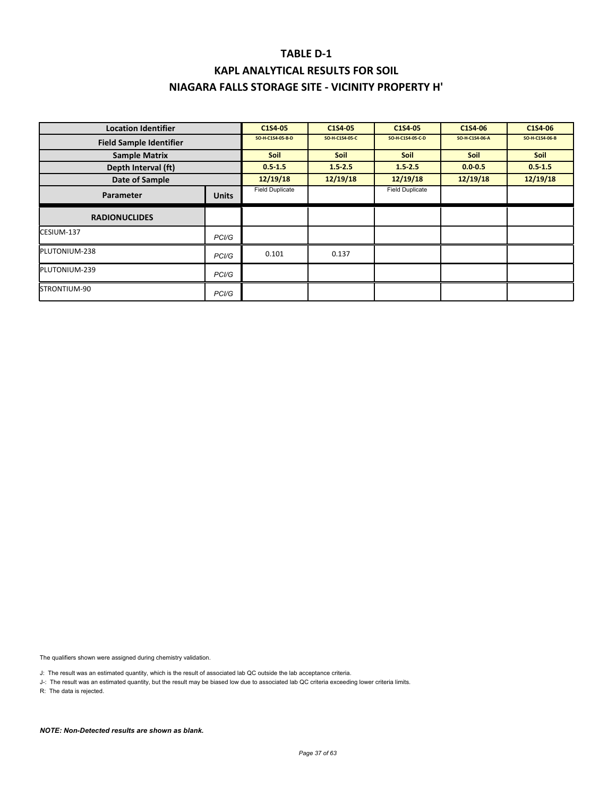| <b>Location Identifier</b>     |                    | C1S4-05                | C1S4 05        | C1S4-05                | C1S4-06        | C1S4-06        |
|--------------------------------|--------------------|------------------------|----------------|------------------------|----------------|----------------|
| <b>Field Sample Identifier</b> |                    | SO-H-C1S4-05-B-D       | SO-H-C1S4-05-C | SO-H-C1S4-05-C-D       | SO-H-C1S4-06-A | SO-H-C1S4-06-B |
| <b>Sample Matrix</b>           |                    | <b>Soil</b>            | <b>Soil</b>    | <b>Soil</b>            | <b>Soil</b>    | Soil           |
| Depth Interval (ft)            |                    | $0.5 - 1.5$            | $1.5 - 2.5$    | $1.5 - 2.5$            | $0.0 - 0.5$    | $0.5 - 1.5$    |
| Date of Sample                 |                    | 12/19/18               | 12/19/18       | 12/19/18               | 12/19/18       | 12/19/18       |
| <b>Parameter</b>               | <b>Units</b>       | <b>Field Duplicate</b> |                | <b>Field Duplicate</b> |                |                |
| <b>RADIONUCLIDES</b>           |                    |                        |                |                        |                |                |
| CESIUM-137                     | PCI/G              |                        |                |                        |                |                |
| PLUTONIUM-238                  | PCI/G              | 0.101                  | 0.137          |                        |                |                |
| PLUTONIUM-239                  | PC <sub>1</sub> /G |                        |                |                        |                |                |
| STRONTIUM-90                   | PC <sub>1</sub> /G |                        |                |                        |                |                |

The qualifiers shown were assigned during chemistry validation.

J: The result was an estimated quantity, which is the result of associated lab QC outside the lab acceptance criteria.

J-: The result was an estimated quantity, but the result may be biased low due to associated lab QC criteria exceeding lower criteria limits.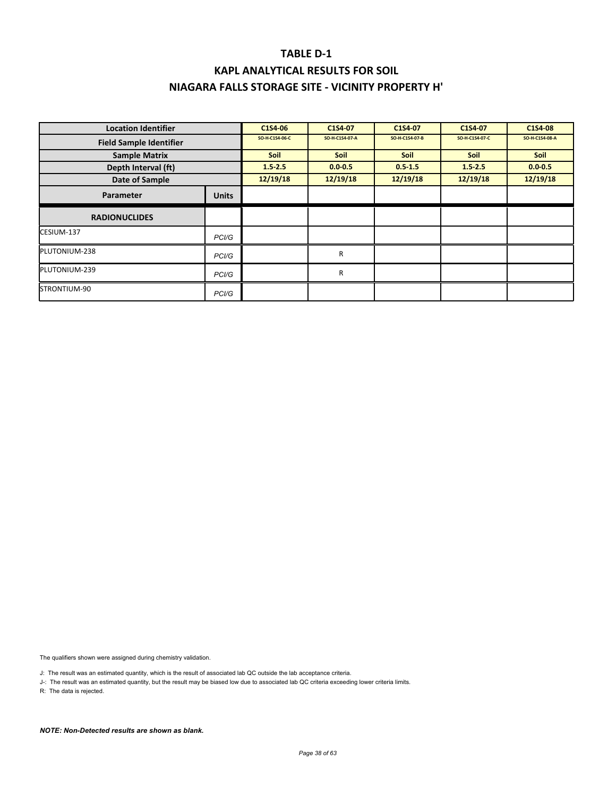| <b>Location Identifier</b>     |                    | C1S4-06        | C1S4-07        | C1S4-07        | C1S4-07        | C1S4-08        |
|--------------------------------|--------------------|----------------|----------------|----------------|----------------|----------------|
| <b>Field Sample Identifier</b> |                    | SO-H-C1S4-06-C | SO-H-C1S4-07-A | SO-H-C1S4-07-B | SO-H-C1S4-07-C | SO-H-C1S4-08-A |
| <b>Sample Matrix</b>           |                    | Soil           | <b>Soil</b>    | Soil           | <b>Soil</b>    | Soil           |
| Depth Interval (ft)            |                    | 1.52.5         | $0.0 - 0.5$    | $0.5 - 1.5$    | $1.5 - 2.5$    | $0.0 - 0.5$    |
| Date of Sample                 |                    | 12/19/18       | 12/19/18       | 12/19/18       | 12/19/18       | 12/19/18       |
| <b>Parameter</b>               | <b>Units</b>       |                |                |                |                |                |
| <b>RADIONUCLIDES</b>           |                    |                |                |                |                |                |
| CESIUM-137                     | PCI/G              |                |                |                |                |                |
| PLUTONIUM-238                  | PCI/G              |                | R              |                |                |                |
| PLUTONIUM-239                  | PC <sub>1</sub> /G |                | R              |                |                |                |
| STRONTIUM-90                   | PCI/G              |                |                |                |                |                |

The qualifiers shown were assigned during chemistry validation.

J: The result was an estimated quantity, which is the result of associated lab QC outside the lab acceptance criteria.

J-: The result was an estimated quantity, but the result may be biased low due to associated lab QC criteria exceeding lower criteria limits.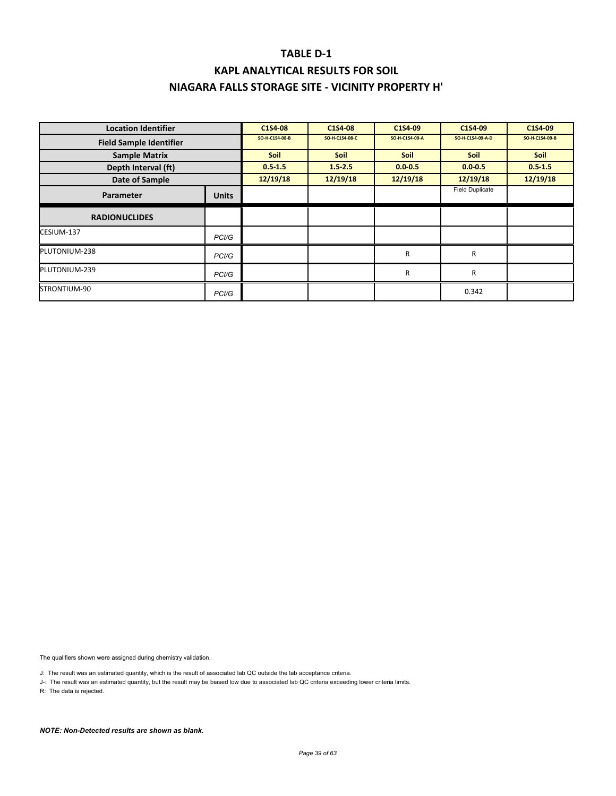| <b>Location Identifier</b>     |                    | C1S4-08        | C1S4-08        | C1S4-09        | C1S4-09                | C1S4-09        |
|--------------------------------|--------------------|----------------|----------------|----------------|------------------------|----------------|
| <b>Field Sample Identifier</b> |                    | SO-H-C1S4-08-B | SO-H-C1S4-08-C | SO-H-C1S4-09-A | SO-H-C1S4-09-A-D       | SO-H-C1S4-09-B |
| <b>Sample Matrix</b>           |                    | <b>Soil</b>    | <b>Soil</b>    | <b>Soil</b>    | <b>Soil</b>            | <b>Soil</b>    |
| Depth Interval (ft)            |                    | $0.5 - 1.5$    | $1.5 - 2.5$    | $0.0 - 0.5$    | $0.0 - 0.5$            | $0.5 - 1.5$    |
| Date of Sample                 |                    | 12/19/18       | 12/19/18       | 12/19/18       | 12/19/18               | 12/19/18       |
| Parameter                      | <b>Units</b>       |                |                |                | <b>Field Duplicate</b> |                |
| <b>RADIONUCLIDES</b>           |                    |                |                |                |                        |                |
| CESIUM-137                     | PC <sub>1</sub> /G |                |                |                |                        |                |
| PLUTONIUM-238                  | PC <sub>1</sub> /G |                |                | $\mathsf{R}$   | R                      |                |
| PLUTONIUM-239                  | PC <sub>1</sub> /G |                |                | R              | R                      |                |
| STRONTIUM-90                   | PC <sub>1</sub> /G |                |                |                | 0.342                  |                |

The qualifiers shown were assigned during chemistry validation.

J: The result was an estimated quantity, which is the result of associated lab QC outside the lab acceptance criteria.

J-: The result was an estimated quantity, but the result may be biased low due to associated lab QC criteria exceeding lower criteria limits.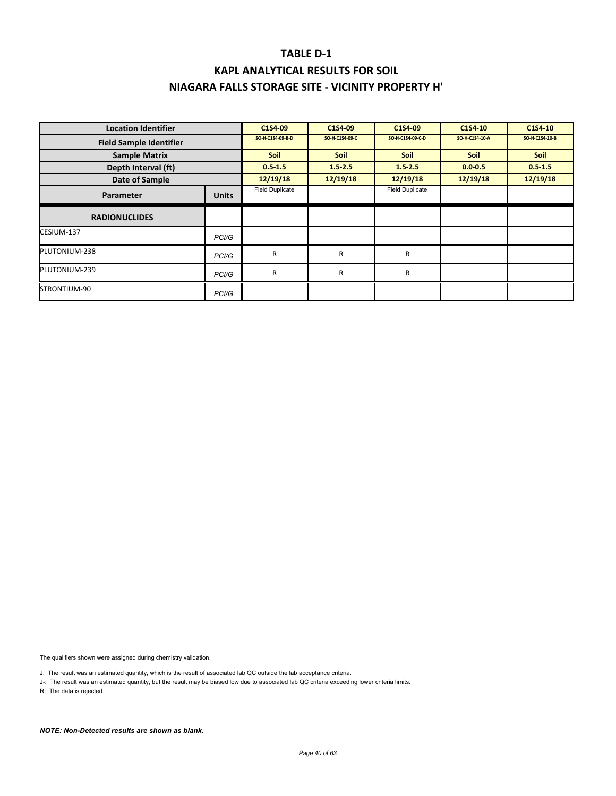# **KAPL ANALYTICAL RESULTS FOR SOIL NIAGARA FALLS STORAGE SITE ‐ VICINITY PROPERTY H'**

| <b>Location Identifier</b>     |                    | C1S4-09                | C1S4-09        | C1S4-09                | C1S4-10        | C1S4-10        |
|--------------------------------|--------------------|------------------------|----------------|------------------------|----------------|----------------|
| <b>Field Sample Identifier</b> |                    | SO-H-C1S4-09-B-D       | SO-H-C1S4-09-C | SO-H-C1S4-09-C-D       | SO-H-C1S4-10-A | SO-H-C1S4-10-B |
| <b>Sample Matrix</b>           |                    | <b>Soil</b>            | <b>Soil</b>    | <b>Soil</b>            | <b>Soil</b>    | <b>Soil</b>    |
| Depth Interval (ft)            |                    | $0.5 - 1.5$            | $1.5 - 2.5$    | $1.5 - 2.5$            | $0.0 - 0.5$    | $0.5 - 1.5$    |
| Date of Sample                 |                    | 12/19/18               | 12/19/18       | 12/19/18               | 12/19/18       | 12/19/18       |
| Parameter                      | <b>Units</b>       | <b>Field Duplicate</b> |                | <b>Field Duplicate</b> |                |                |
| <b>RADIONUCLIDES</b>           |                    |                        |                |                        |                |                |
| CESIUM-137                     | PC <sub>1</sub> /G |                        |                |                        |                |                |
| PLUTONIUM-238                  | PCI/G              | R                      | R              | R                      |                |                |
| PLUTONIUM-239                  | PC <sub>1</sub> /G | $\mathsf{R}$           | R              | R                      |                |                |
| STRONTIUM-90                   | PCI/G              |                        |                |                        |                |                |

The qualifiers shown were assigned during chemistry validation.

J: The result was an estimated quantity, which is the result of associated lab QC outside the lab acceptance criteria.

J-: The result was an estimated quantity, but the result may be biased low due to associated lab QC criteria exceeding lower criteria limits.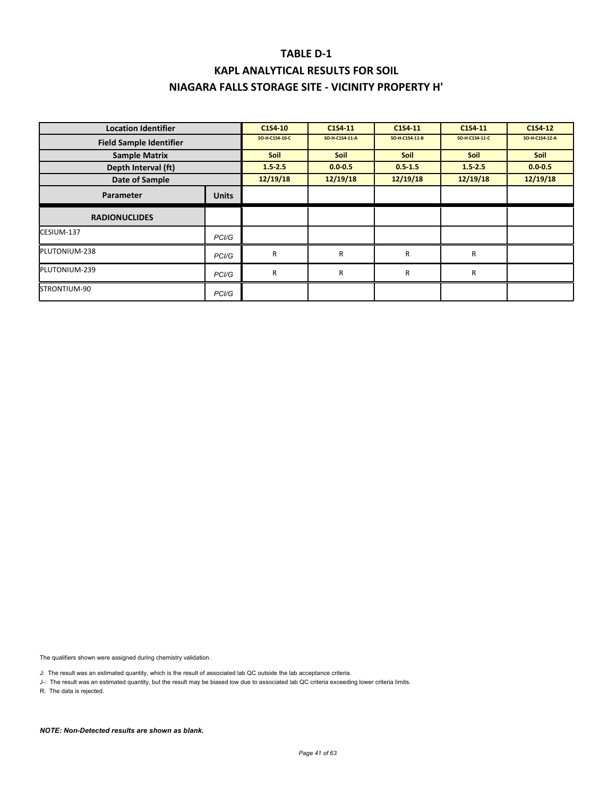# **KAPL ANALYTICAL RESULTS FOR SOIL NIAGARA FALLS STORAGE SITE ‐ VICINITY PROPERTY H'**

| <b>Location Identifier</b>     |                    | C1S4-10        | C1S4 11        | C1S4-11        | C1S4-11        | C1S4-12        |
|--------------------------------|--------------------|----------------|----------------|----------------|----------------|----------------|
| <b>Field Sample Identifier</b> |                    | SO-H-C1S4-10-C | SO-H-C1S4-11-A | SO-H-C1S4-11-B | SO-H-C1S4-11-C | SO-H-C1S4-12-A |
| <b>Sample Matrix</b>           |                    | <b>Soil</b>    | <b>Soil</b>    | <b>Soil</b>    | <b>Soil</b>    | <b>Soil</b>    |
| Depth Interval (ft)            |                    | $1.5 - 2.5$    | $0.0 - 0.5$    | $0.5 - 1.5$    | $1.5 - 2.5$    | $0.0 - 0.5$    |
| Date of Sample                 |                    | 12/19/18       | 12/19/18       | 12/19/18       | 12/19/18       | 12/19/18       |
| Parameter                      | <b>Units</b>       |                |                |                |                |                |
| <b>RADIONUCLIDES</b>           |                    |                |                |                |                |                |
| CESIUM-137                     | PC <sub>1</sub> /G |                |                |                |                |                |
| PLUTONIUM-238                  | PC <sub>1</sub> /G | R              | R              | R              | R              |                |
| PLUTONIUM-239                  | PC <sub>1</sub> /G | $\mathsf{R}$   | R              | R              | $\mathsf{R}$   |                |
| STRONTIUM-90                   | PCI/G              |                |                |                |                |                |

The qualifiers shown were assigned during chemistry validation.

J: The result was an estimated quantity, which is the result of associated lab QC outside the lab acceptance criteria.

J-: The result was an estimated quantity, but the result may be biased low due to associated lab QC criteria exceeding lower criteria limits.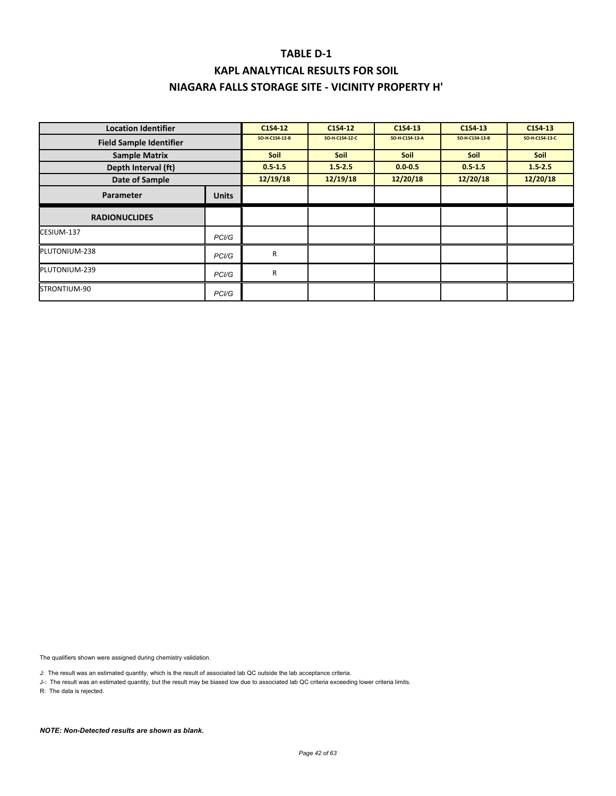### **KAPL ANALYTICAL RESULTS FOR SOIL NIAGARA FALLS STORAGE SITE ‐ VICINITY PROPERTY H'**

| <b>Location Identifier</b>     |                    | C1S4-12        | C1S4-12        | C1S4-13        | C1S4-13        | C1S4-13        |
|--------------------------------|--------------------|----------------|----------------|----------------|----------------|----------------|
| <b>Field Sample Identifier</b> |                    | SO-H-C1S4-12-B | SO-H-C1S4-12-C | SO-H-C1S4-13-A | SO-H-C1S4-13-B | SO-H-C1S4-13-C |
| <b>Sample Matrix</b>           |                    | <b>Soil</b>    | <b>Soil</b>    | <b>Soil</b>    | <b>Soil</b>    | <b>Soil</b>    |
| Depth Interval (ft)            |                    | $0.5 - 1.5$    | $1.5 - 2.5$    | $0.0 - 0.5$    | $0.5 - 1.5$    | $1.5 - 2.5$    |
| Date of Sample                 |                    | 12/19/18       | 12/19/18       | 12/20/18       | 12/20/18       | 12/20/18       |
| Parameter                      | <b>Units</b>       |                |                |                |                |                |
| <b>RADIONUCLIDES</b>           |                    |                |                |                |                |                |
| CESIUM-137                     | PC <sub>1</sub> /G |                |                |                |                |                |
| PLUTONIUM-238                  | PCI/G              | R              |                |                |                |                |
| PLUTONIUM-239                  | PC <sub>1</sub> /G | R              |                |                |                |                |
| STRONTIUM-90                   | PCI/G              |                |                |                |                |                |

The qualifiers shown were assigned during chemistry validation.

J: The result was an estimated quantity, which is the result of associated lab QC outside the lab acceptance criteria.

J-: The result was an estimated quantity, but the result may be biased low due to associated lab QC criteria exceeding lower criteria limits.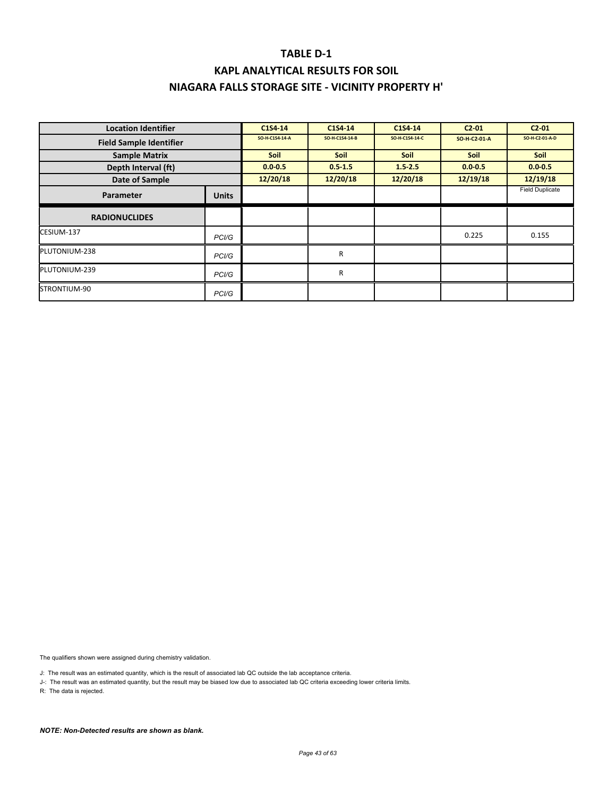### **KAPL ANALYTICAL RESULTS FOR SOIL NIAGARA FALLS STORAGE SITE ‐ VICINITY PROPERTY H'**

| <b>Location Identifier</b>     |                    | C1S4-14        | C1S4-14        | C1S4-14        | C2.01        | C2.01                  |
|--------------------------------|--------------------|----------------|----------------|----------------|--------------|------------------------|
| <b>Field Sample Identifier</b> |                    | SO-H-C1S4-14-A | SO-H-C1S4-14-B | SO-H-C1S4-14-C | SO-H-C2-01-A | SO-H-C2-01-A-D         |
| <b>Sample Matrix</b>           |                    | <b>Soil</b>    | <b>Soil</b>    | <b>Soil</b>    | <b>Soil</b>  | Soil                   |
| Depth Interval (ft)            |                    | $0.0 - 0.5$    | $0.5 - 1.5$    | $1.5 - 2.5$    | $0.0 - 0.5$  | $0.0 - 0.5$            |
| Date of Sample                 |                    | 12/20/18       | 12/20/18       | 12/20/18       | 12/19/18     | 12/19/18               |
| Parameter                      | <b>Units</b>       |                |                |                |              | <b>Field Duplicate</b> |
| <b>RADIONUCLIDES</b>           |                    |                |                |                |              |                        |
| CESIUM-137                     | PC <sub>1</sub> /G |                |                |                | 0.225        | 0.155                  |
| PLUTONIUM-238                  | PC <sub>1</sub> /G |                | R              |                |              |                        |
| PLUTONIUM-239                  | PC <sub>1</sub> /G |                | R              |                |              |                        |
| STRONTIUM-90                   | PC <sub>1</sub> /G |                |                |                |              |                        |

The qualifiers shown were assigned during chemistry validation.

J: The result was an estimated quantity, which is the result of associated lab QC outside the lab acceptance criteria.

J-: The result was an estimated quantity, but the result may be biased low due to associated lab QC criteria exceeding lower criteria limits.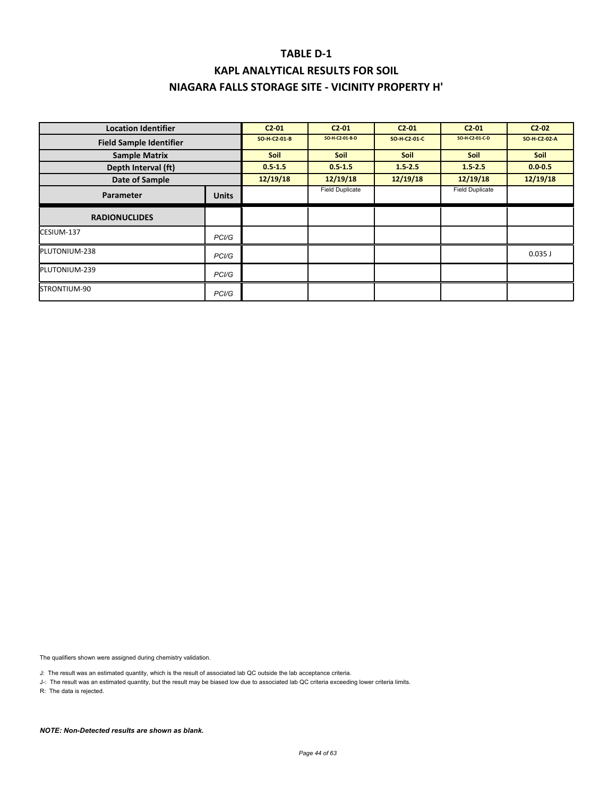| <b>Location Identifier</b>     |              | $C2 - 01$    | C2.01                  | C2 01        | C2 01                  | $C2-02$      |
|--------------------------------|--------------|--------------|------------------------|--------------|------------------------|--------------|
| <b>Field Sample Identifier</b> |              | SO-H-C2-01-B | SO-H-C2-01-B-D         | SO-H-C2-01-C | SO-H-C2-01-C-D         | SO-H-C2-02-A |
| <b>Sample Matrix</b>           |              | <b>Soil</b>  | <b>Soil</b>            | <b>Soil</b>  | <b>Soil</b>            | Soil         |
| Depth Interval (ft)            |              | $0.5 - 1.5$  | $0.5 - 1.5$            | 1.52.5       | $1.5 - 2.5$            | $0.0 - 0.5$  |
| Date of Sample                 |              | 12/19/18     | 12/19/18               | 12/19/18     | 12/19/18               | 12/19/18     |
| Parameter                      | <b>Units</b> |              | <b>Field Duplicate</b> |              | <b>Field Duplicate</b> |              |
| <b>RADIONUCLIDES</b>           |              |              |                        |              |                        |              |
| CESIUM-137                     | PCI/G        |              |                        |              |                        |              |
| PLUTONIUM-238                  | PCI/G        |              |                        |              |                        | $0.035$ J    |
| PLUTONIUM-239                  | PCI/G        |              |                        |              |                        |              |
| STRONTIUM-90                   | PCI/G        |              |                        |              |                        |              |

The qualifiers shown were assigned during chemistry validation.

J: The result was an estimated quantity, which is the result of associated lab QC outside the lab acceptance criteria.

J-: The result was an estimated quantity, but the result may be biased low due to associated lab QC criteria exceeding lower criteria limits.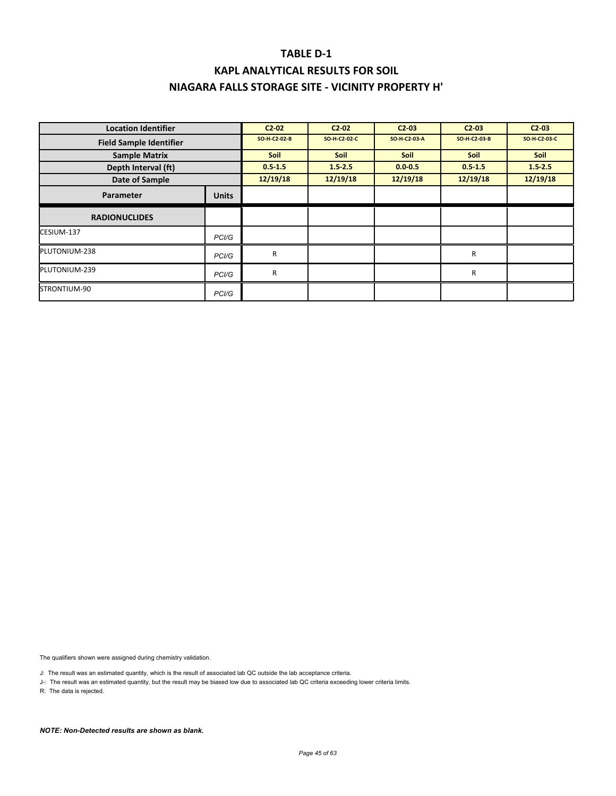| <b>Location Identifier</b>     |                    | $C2 - 02$    | $C2-02$      | $C2-03$      | $C2-03$      | $C2-03$      |
|--------------------------------|--------------------|--------------|--------------|--------------|--------------|--------------|
| <b>Field Sample Identifier</b> |                    | SO-H-C2-02-B | SO-H-C2-02-C | SO-H-C2-03-A | SO-H-C2-03-B | SO-H-C2-03-C |
| <b>Sample Matrix</b>           |                    | <b>Soil</b>  | <b>Soil</b>  | <b>Soil</b>  | <b>Soil</b>  | <b>Soil</b>  |
| Depth Interval (ft)            |                    | $0.5 - 1.5$  | 1.52.5       | $0.0 - 0.5$  | 0.51.5       | $1.5 - 2.5$  |
| Date of Sample                 |                    | 12/19/18     | 12/19/18     | 12/19/18     | 12/19/18     | 12/19/18     |
| Parameter                      | <b>Units</b>       |              |              |              |              |              |
| <b>RADIONUCLIDES</b>           |                    |              |              |              |              |              |
| CESIUM-137                     | PCI/G              |              |              |              |              |              |
| PLUTONIUM-238                  | PC <sub>1</sub> /G | R            |              |              | R            |              |
| PLUTONIUM-239                  | PC <sub>1</sub> /G | R            |              |              | R            |              |
| STRONTIUM-90                   | PCI/G              |              |              |              |              |              |

The qualifiers shown were assigned during chemistry validation.

J: The result was an estimated quantity, which is the result of associated lab QC outside the lab acceptance criteria.

J-: The result was an estimated quantity, but the result may be biased low due to associated lab QC criteria exceeding lower criteria limits.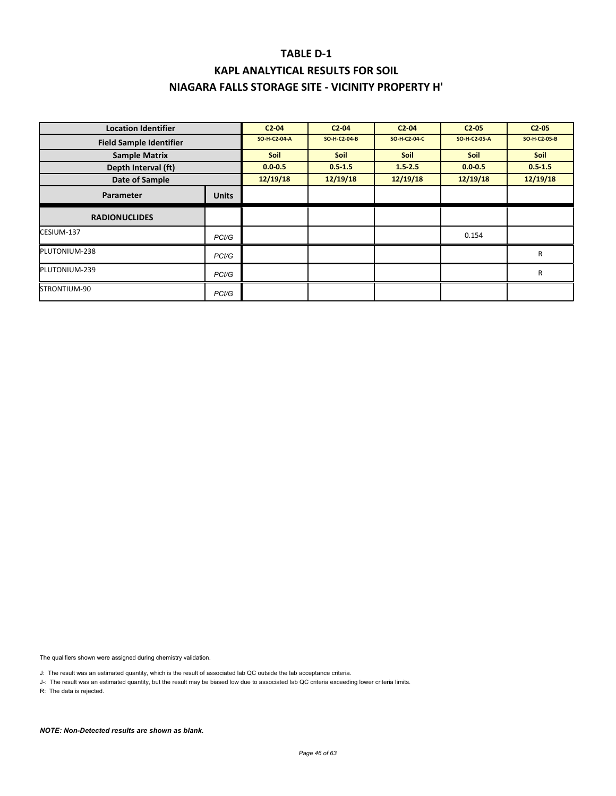| <b>Location Identifier</b>     |              | $C2-04$      | C2.04        | C2.04        | C2.05        | C2.05        |
|--------------------------------|--------------|--------------|--------------|--------------|--------------|--------------|
| <b>Field Sample Identifier</b> |              | SO-H-C2-04-A | SO-H-C2-04-B | SO-H-C2-04-C | SO-H-C2-05-A | SO-H-C2-05-B |
| <b>Sample Matrix</b>           |              | <b>Soil</b>  | <b>Soil</b>  | <b>Soil</b>  | Soil         | <b>Soil</b>  |
| Depth Interval (ft)            |              | $0.0 - 0.5$  | $0.5 - 1.5$  | $1.5 - 2.5$  | $0.0 - 0.5$  | $0.5 - 1.5$  |
| Date of Sample                 |              | 12/19/18     | 12/19/18     | 12/19/18     | 12/19/18     | 12/19/18     |
| Parameter                      | <b>Units</b> |              |              |              |              |              |
| <b>RADIONUCLIDES</b>           |              |              |              |              |              |              |
| CESIUM-137                     | PCI/G        |              |              |              | 0.154        |              |
| PLUTONIUM-238                  | PCI/G        |              |              |              |              | R            |
| PLUTONIUM-239                  | PCI/G        |              |              |              |              | R            |
| STRONTIUM-90                   | PCI/G        |              |              |              |              |              |

The qualifiers shown were assigned during chemistry validation.

J: The result was an estimated quantity, which is the result of associated lab QC outside the lab acceptance criteria.

J-: The result was an estimated quantity, but the result may be biased low due to associated lab QC criteria exceeding lower criteria limits.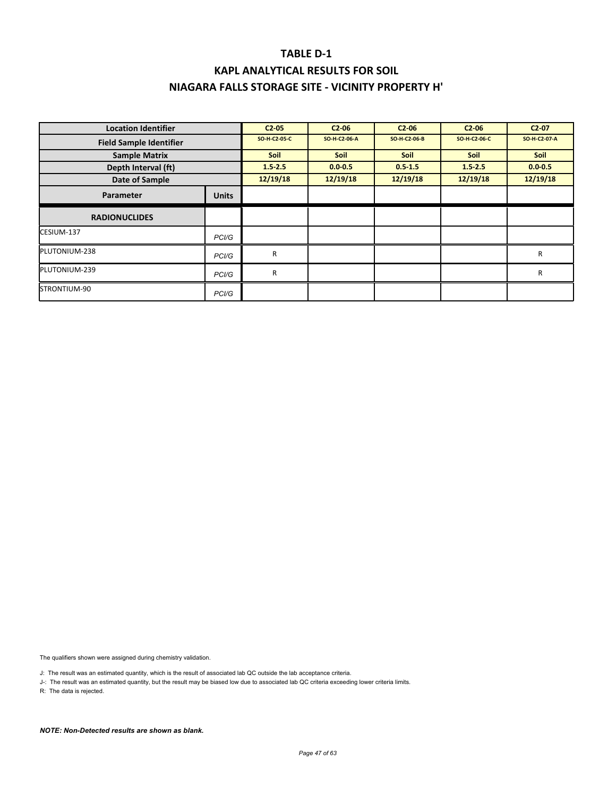| <b>Location Identifier</b>     |              | C2.05        | C2.06        | C2.06        | $C2-06$      | C2.07        |
|--------------------------------|--------------|--------------|--------------|--------------|--------------|--------------|
| <b>Field Sample Identifier</b> |              | SO-H-C2-05-C | SO-H-C2-06-A | SO-H-C2-06-B | SO-H-C2-06-C | SO-H-C2-07-A |
| <b>Sample Matrix</b>           |              | <b>Soil</b>  | <b>Soil</b>  | <b>Soil</b>  | <b>Soil</b>  | Soil         |
| Depth Interval (ft)            |              | 1.52.5       | $0.0 - 0.5$  | $0.5 - 1.5$  | $1.5 - 2.5$  | $0.0 - 0.5$  |
| Date of Sample                 |              | 12/19/18     | 12/19/18     | 12/19/18     | 12/19/18     | 12/19/18     |
| Parameter                      | <b>Units</b> |              |              |              |              |              |
| <b>RADIONUCLIDES</b>           |              |              |              |              |              |              |
| CESIUM-137                     | PCI/G        |              |              |              |              |              |
| PLUTONIUM-238                  | PCI/G        | R            |              |              |              | R            |
| PLUTONIUM-239                  | PCI/G        | R            |              |              |              | R            |
| STRONTIUM-90                   | PCI/G        |              |              |              |              |              |

The qualifiers shown were assigned during chemistry validation.

J: The result was an estimated quantity, which is the result of associated lab QC outside the lab acceptance criteria.

J-: The result was an estimated quantity, but the result may be biased low due to associated lab QC criteria exceeding lower criteria limits.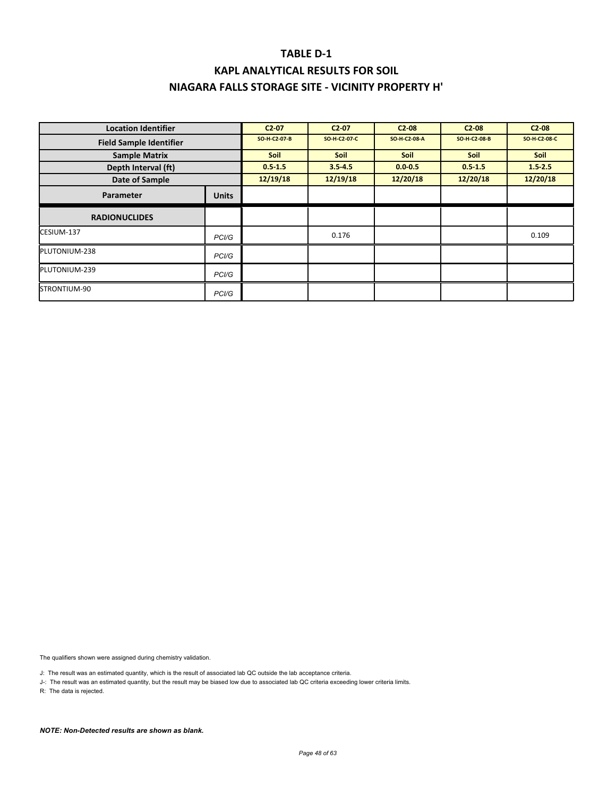| <b>Location Identifier</b>     |                    | C2 07        | $C2-07$      | $C2-08$      | $C2-08$      | $C2-08$      |
|--------------------------------|--------------------|--------------|--------------|--------------|--------------|--------------|
| <b>Field Sample Identifier</b> |                    | SO-H-C2-07-B | SO-H-C2-07-C | SO-H-C2-08-A | SO-H-C2-08-B | SO-H-C2-08-C |
| <b>Sample Matrix</b>           |                    | <b>Soil</b>  | <b>Soil</b>  | <b>Soil</b>  | <b>Soil</b>  | <b>Soil</b>  |
| Depth Interval (ft)            |                    | $0.5 - 1.5$  | $3.5 - 4.5$  | $0.0 - 0.5$  | $0.5 - 1.5$  | $1.5 - 2.5$  |
| Date of Sample                 |                    | 12/19/18     | 12/19/18     | 12/20/18     | 12/20/18     | 12/20/18     |
| Parameter                      | <b>Units</b>       |              |              |              |              |              |
| <b>RADIONUCLIDES</b>           |                    |              |              |              |              |              |
| CESIUM-137                     | PCI/G              |              | 0.176        |              |              | 0.109        |
| PLUTONIUM-238                  | PCI/G              |              |              |              |              |              |
| PLUTONIUM-239                  | PC <sub>1</sub> /G |              |              |              |              |              |
| STRONTIUM-90                   | PCI/G              |              |              |              |              |              |

The qualifiers shown were assigned during chemistry validation.

J: The result was an estimated quantity, which is the result of associated lab QC outside the lab acceptance criteria.

J-: The result was an estimated quantity, but the result may be biased low due to associated lab QC criteria exceeding lower criteria limits.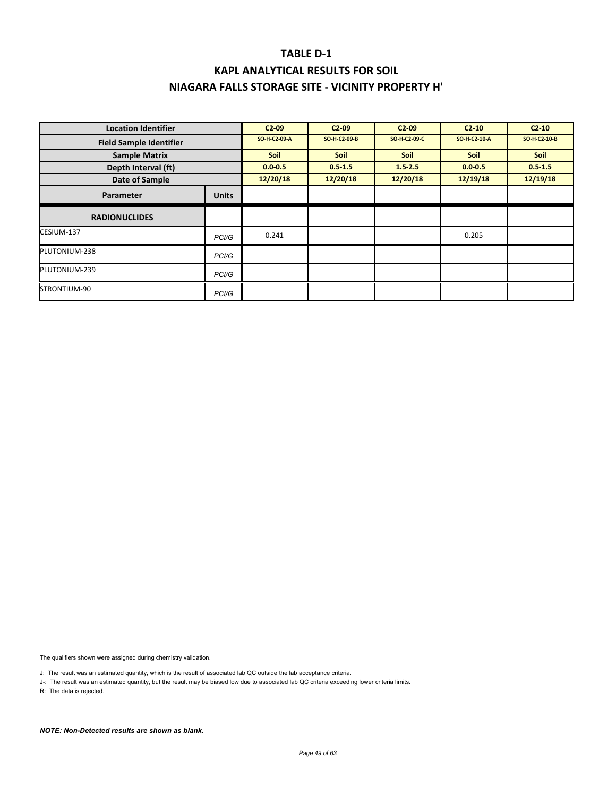| <b>Location Identifier</b>     |              | $C2-09$      | $C2-09$      | $C2-09$      | $C2-10$      | $C2-10$      |
|--------------------------------|--------------|--------------|--------------|--------------|--------------|--------------|
| <b>Field Sample Identifier</b> |              | SO-H-C2-09-A | SO-H-C2-09-B | SO-H-C2-09-C | SO-H-C2-10-A | SO-H-C2-10-B |
| <b>Sample Matrix</b>           |              | <b>Soil</b>  | <b>Soil</b>  | <b>Soil</b>  | <b>Soil</b>  | Soil         |
| Depth Interval (ft)            |              | $0.0 - 0.5$  | $0.5 - 1.5$  | $1.5 - 2.5$  | $0.0 - 0.5$  | $0.5 - 1.5$  |
| Date of Sample                 |              | 12/20/18     | 12/20/18     | 12/20/18     | 12/19/18     | 12/19/18     |
| Parameter                      | <b>Units</b> |              |              |              |              |              |
| <b>RADIONUCLIDES</b>           |              |              |              |              |              |              |
| CESIUM-137                     | PCI/G        | 0.241        |              |              | 0.205        |              |
| PLUTONIUM-238                  | PCI/G        |              |              |              |              |              |
| PLUTONIUM-239                  | PCI/G        |              |              |              |              |              |
| STRONTIUM-90                   | PCI/G        |              |              |              |              |              |

The qualifiers shown were assigned during chemistry validation.

J: The result was an estimated quantity, which is the result of associated lab QC outside the lab acceptance criteria.

J-: The result was an estimated quantity, but the result may be biased low due to associated lab QC criteria exceeding lower criteria limits.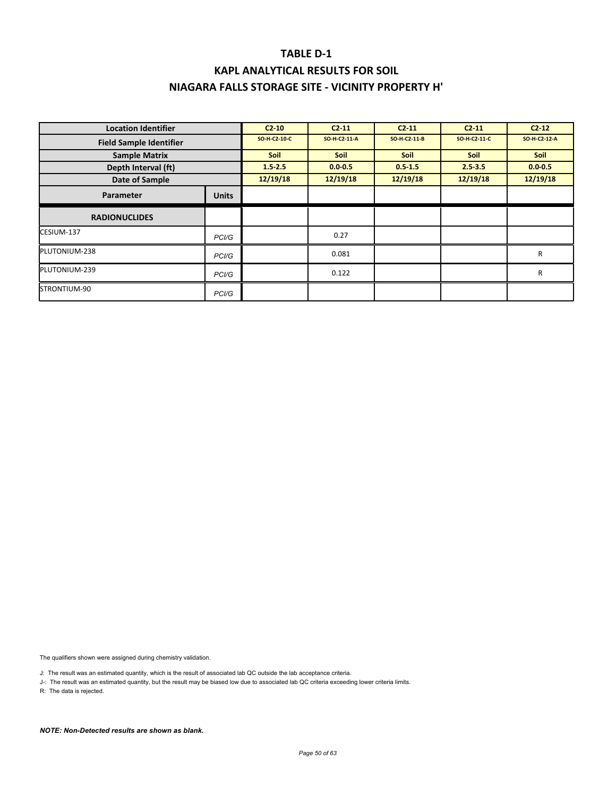# **KAPL ANALYTICAL RESULTS FOR SOIL NIAGARA FALLS STORAGE SITE ‐ VICINITY PROPERTY H'**

| <b>Location Identifier</b>     |                    | $C2-10$      | $C2 - 11$    | $C2 - 11$    | C2.11        | $C2 - 12$    |
|--------------------------------|--------------------|--------------|--------------|--------------|--------------|--------------|
| <b>Field Sample Identifier</b> |                    | SO-H-C2-10-C | SO-H-C2-11-A | SO-H-C2-11-B | SO-H-C2-11-C | SO-H-C2-12-A |
| <b>Sample Matrix</b>           |                    | <b>Soil</b>  | <b>Soil</b>  | <b>Soil</b>  | <b>Soil</b>  | Soil         |
| Depth Interval (ft)            |                    | $1.5 - 2.5$  | $0.0 - 0.5$  | $0.5 - 1.5$  | $2.5 - 3.5$  | $0.0 - 0.5$  |
| Date of Sample                 |                    | 12/19/18     | 12/19/18     | 12/19/18     | 12/19/18     | 12/19/18     |
| Parameter                      | <b>Units</b>       |              |              |              |              |              |
| <b>RADIONUCLIDES</b>           |                    |              |              |              |              |              |
| CESIUM-137                     | PC <sub>1</sub> /G |              | 0.27         |              |              |              |
| PLUTONIUM-238                  | PC <sub>1</sub> /G |              | 0.081        |              |              | R            |
| PLUTONIUM-239                  | PCI/G              |              | 0.122        |              |              | R            |
| STRONTIUM-90                   | PC <sub>1</sub> /G |              |              |              |              |              |

The qualifiers shown were assigned during chemistry validation.

J: The result was an estimated quantity, which is the result of associated lab QC outside the lab acceptance criteria.

J-: The result was an estimated quantity, but the result may be biased low due to associated lab QC criteria exceeding lower criteria limits.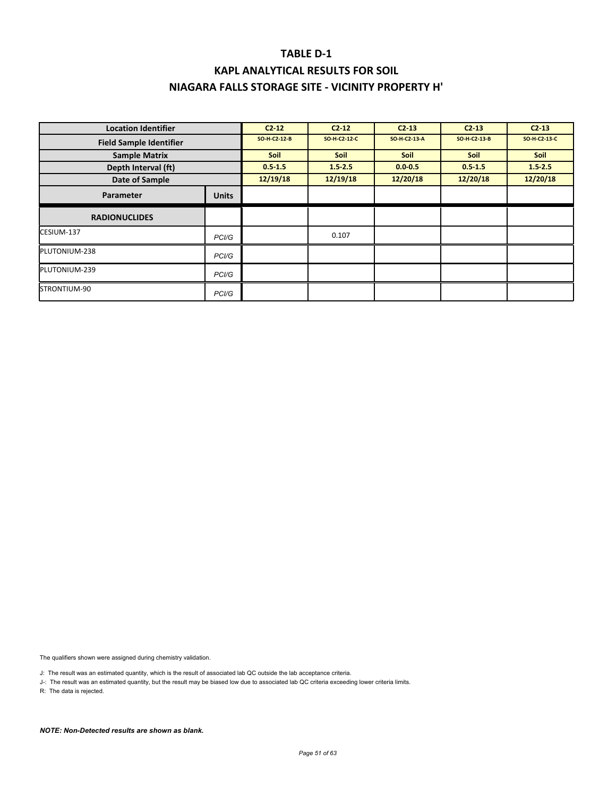| <b>Location Identifier</b>     |              | $C2 - 12$    | $C2 - 12$    | $C2 - 13$    | $C2 - 13$    | $C2 - 13$    |
|--------------------------------|--------------|--------------|--------------|--------------|--------------|--------------|
| <b>Field Sample Identifier</b> |              | SO-H-C2-12-B | SO-H-C2-12-C | SO-H-C2-13-A | SO-H-C2-13-B | SO-H-C2-13-C |
| <b>Sample Matrix</b>           |              | <b>Soil</b>  | Soil         | Soil         | Soil         | Soil         |
| Depth Interval (ft)            |              | $0.5 - 1.5$  | $1.5 - 2.5$  | $0.0 - 0.5$  | $0.5 - 1.5$  | $1.5 - 2.5$  |
| Date of Sample                 |              | 12/19/18     | 12/19/18     | 12/20/18     | 12/20/18     | 12/20/18     |
| Parameter                      | <b>Units</b> |              |              |              |              |              |
| <b>RADIONUCLIDES</b>           |              |              |              |              |              |              |
| CESIUM-137                     | PCI/G        |              | 0.107        |              |              |              |
| PLUTONIUM-238                  | PCI/G        |              |              |              |              |              |
| PLUTONIUM-239                  | PCI/G        |              |              |              |              |              |
| STRONTIUM-90                   | PCI/G        |              |              |              |              |              |

The qualifiers shown were assigned during chemistry validation.

J: The result was an estimated quantity, which is the result of associated lab QC outside the lab acceptance criteria.

J-: The result was an estimated quantity, but the result may be biased low due to associated lab QC criteria exceeding lower criteria limits.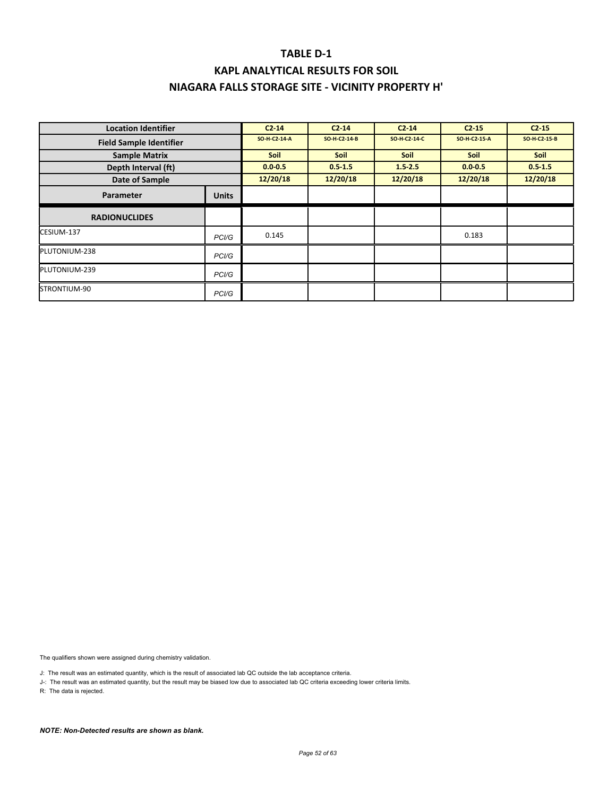| <b>Location Identifier</b>     |                    | $C2 - 14$    | $C2 - 14$    | $C2 - 14$    | C2.15        | C2 <sub>15</sub> |
|--------------------------------|--------------------|--------------|--------------|--------------|--------------|------------------|
| <b>Field Sample Identifier</b> |                    | SO-H-C2-14-A | SO-H-C2-14-B | SO-H-C2-14-C | SO-H-C2-15-A | SO-H-C2-15-B     |
| <b>Sample Matrix</b>           |                    | <b>Soil</b>  | <b>Soil</b>  | <b>Soil</b>  | <b>Soil</b>  | Soil             |
| Depth Interval (ft)            |                    | $0.0 - 0.5$  | $0.5 - 1.5$  | $1.5 - 2.5$  | $0.0 - 0.5$  | 0.51.5           |
| Date of Sample                 |                    | 12/20/18     | 12/20/18     | 12/20/18     | 12/20/18     | 12/20/18         |
| Parameter                      | <b>Units</b>       |              |              |              |              |                  |
| <b>RADIONUCLIDES</b>           |                    |              |              |              |              |                  |
| CESIUM-137                     | PC <sub>1</sub> /G | 0.145        |              |              | 0.183        |                  |
| PLUTONIUM-238                  | PCI/G              |              |              |              |              |                  |
| PLUTONIUM-239                  | PCI/G              |              |              |              |              |                  |
| STRONTIUM-90                   | PCI/G              |              |              |              |              |                  |

The qualifiers shown were assigned during chemistry validation.

J: The result was an estimated quantity, which is the result of associated lab QC outside the lab acceptance criteria.

J-: The result was an estimated quantity, but the result may be biased low due to associated lab QC criteria exceeding lower criteria limits.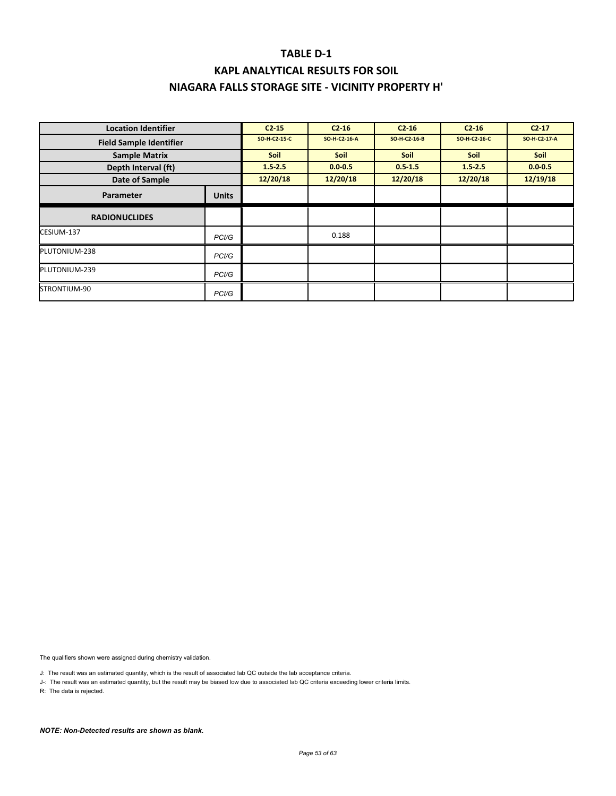| <b>Location Identifier</b>     |              | $C2 - 15$    | $C2 - 16$    | $C2 - 16$    | $C2 - 16$    | $C2 - 17$    |
|--------------------------------|--------------|--------------|--------------|--------------|--------------|--------------|
| <b>Field Sample Identifier</b> |              | SO-H-C2-15-C | SO-H-C2-16-A | SO-H-C2-16-B | SO-H-C2-16-C | SO-H-C2-17-A |
| <b>Sample Matrix</b>           |              | <b>Soil</b>  | Soil         | Soil         | Soil         | Soil         |
| Depth Interval (ft)            |              | $1.5 - 2.5$  | $0.0 - 0.5$  | $0.5 - 1.5$  | $1.5 - 2.5$  | $0.0 - 0.5$  |
| Date of Sample                 |              | 12/20/18     | 12/20/18     | 12/20/18     | 12/20/18     | 12/19/18     |
| Parameter                      | <b>Units</b> |              |              |              |              |              |
| <b>RADIONUCLIDES</b>           |              |              |              |              |              |              |
| CESIUM-137                     | PCI/G        |              | 0.188        |              |              |              |
| PLUTONIUM-238                  | PCI/G        |              |              |              |              |              |
| PLUTONIUM-239                  | PCI/G        |              |              |              |              |              |
| STRONTIUM-90                   | PCI/G        |              |              |              |              |              |

The qualifiers shown were assigned during chemistry validation.

J: The result was an estimated quantity, which is the result of associated lab QC outside the lab acceptance criteria.

J-: The result was an estimated quantity, but the result may be biased low due to associated lab QC criteria exceeding lower criteria limits.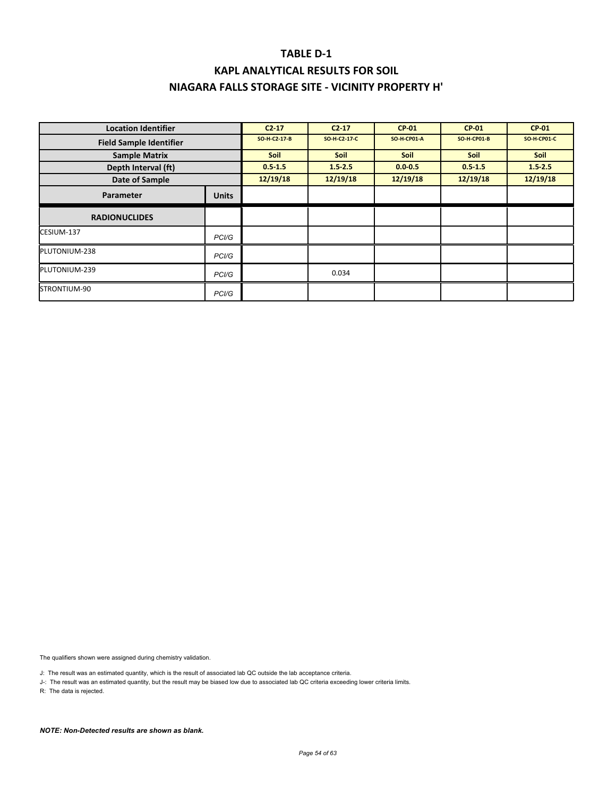### **TABLE D‐1 KAPL ANALYTICAL RESULTS FOR SOIL**

### **NIAGARA FALLS STORAGE SITE ‐ VICINITY PROPERTY H'**

| <b>Location Identifier</b>     |                    | $C2 - 17$    | $C2 - 17$    | <b>CP 01</b>       | <b>CP-01</b>       | <b>CP-01</b> |
|--------------------------------|--------------------|--------------|--------------|--------------------|--------------------|--------------|
| <b>Field Sample Identifier</b> |                    | SO-H-C2-17-B | SO-H-C2-17-C | <b>SO-H-CP01-A</b> | <b>SO-H-CP01-B</b> | SO-H-CP01-C  |
| <b>Sample Matrix</b>           |                    | <b>Soil</b>  | <b>Soil</b>  | <b>Soil</b>        | <b>Soil</b>        | <b>Soil</b>  |
| Depth Interval (ft)            |                    | $0.5 - 1.5$  | 1.52.5       | $0.0 - 0.5$        | 0.51.5             | 1.52.5       |
| Date of Sample                 |                    | 12/19/18     | 12/19/18     | 12/19/18           | 12/19/18           | 12/19/18     |
| Parameter                      | <b>Units</b>       |              |              |                    |                    |              |
| <b>RADIONUCLIDES</b>           |                    |              |              |                    |                    |              |
| CESIUM-137                     | PCI/G              |              |              |                    |                    |              |
| PLUTONIUM-238                  | PC <sub>1</sub> /G |              |              |                    |                    |              |
| PLUTONIUM-239                  | PC <sub>1</sub> /G |              | 0.034        |                    |                    |              |
| STRONTIUM-90                   | PCI/G              |              |              |                    |                    |              |

The qualifiers shown were assigned during chemistry validation.

J: The result was an estimated quantity, which is the result of associated lab QC outside the lab acceptance criteria.

J-: The result was an estimated quantity, but the result may be biased low due to associated lab QC criteria exceeding lower criteria limits.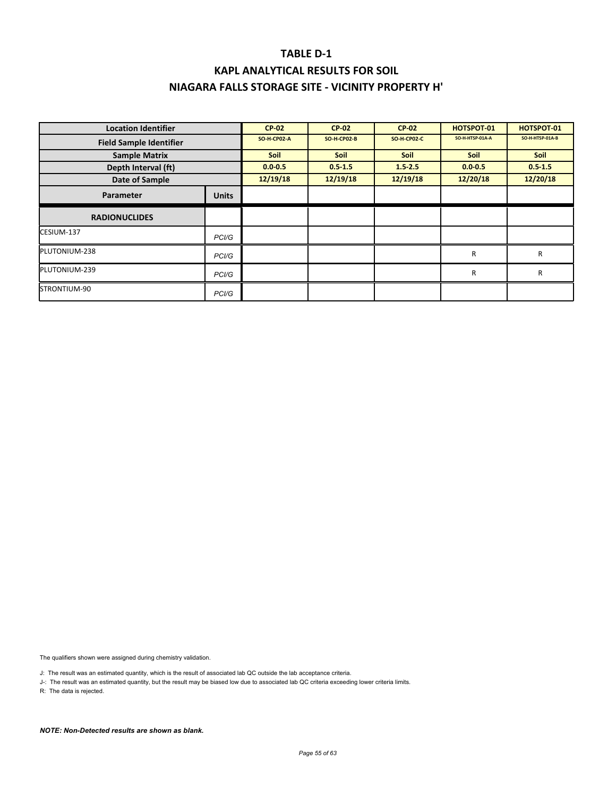| <b>Location Identifier</b>     |                    | <b>CP-02</b> | <b>CP 02</b>       | <b>CP-02</b>       | <b>HOTSPOT 01</b> | <b>HOTSPOT 01</b> |
|--------------------------------|--------------------|--------------|--------------------|--------------------|-------------------|-------------------|
| <b>Field Sample Identifier</b> |                    | SO-H-CP02-A  | <b>SO-H-CP02-B</b> | <b>SO-H-CP02-C</b> | SO-H-HTSP-01A-A   | SO-H-HTSP-01A-B   |
| <b>Sample Matrix</b>           |                    | <b>Soil</b>  | <b>Soil</b>        | <b>Soil</b>        | Soil              | Soil              |
| Depth Interval (ft)            |                    | $0.0 - 0.5$  | $0.5 - 1.5$        | $1.5 - 2.5$        | $0.0 - 0.5$       | $0.5 - 1.5$       |
| Date of Sample                 |                    | 12/19/18     | 12/19/18           | 12/19/18           | 12/20/18          | 12/20/18          |
| Parameter                      | <b>Units</b>       |              |                    |                    |                   |                   |
| <b>RADIONUCLIDES</b>           |                    |              |                    |                    |                   |                   |
| CESIUM-137                     | PC <sub>1</sub> /G |              |                    |                    |                   |                   |
| PLUTONIUM-238                  | PCI/G              |              |                    |                    | $\mathsf{R}$      | R                 |
| PLUTONIUM-239                  | PCI/G              |              |                    |                    | $\mathsf{R}$      | R                 |
| STRONTIUM-90                   | PCI/G              |              |                    |                    |                   |                   |

The qualifiers shown were assigned during chemistry validation.

J: The result was an estimated quantity, which is the result of associated lab QC outside the lab acceptance criteria.

J-: The result was an estimated quantity, but the result may be biased low due to associated lab QC criteria exceeding lower criteria limits.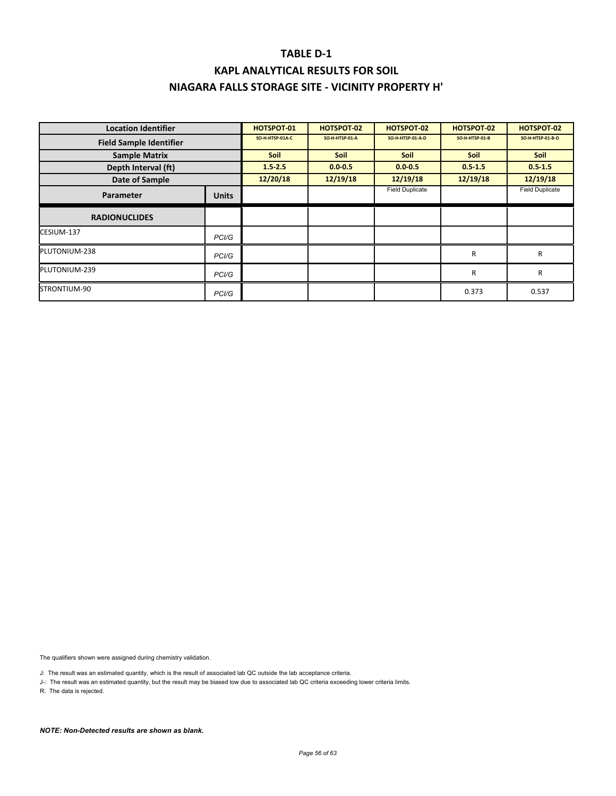### **TABLE D‐1 KAPL ANALYTICAL RESULTS FOR SOIL**

### **NIAGARA FALLS STORAGE SITE ‐ VICINITY PROPERTY H'**

| <b>Location Identifier</b>     |                    | <b>HOTSPOT 01</b> | <b>HOTSPOT 02</b> | HOTSPOT 02             | HOTSPOT-02            | HOTSPOT-02             |
|--------------------------------|--------------------|-------------------|-------------------|------------------------|-----------------------|------------------------|
| <b>Field Sample Identifier</b> |                    | SO-H-HTSP-01A-C   | SO-H-HTSP-01-A    | SO-H-HTSP-01-A-D       | <b>SO-H-HTSP-01-B</b> | SO-H-HTSP-01-B-D       |
| <b>Sample Matrix</b>           |                    | <b>Soil</b>       | <b>Soil</b>       | <b>Soil</b>            | Soil                  | <b>Soil</b>            |
| Depth Interval (ft)            |                    | $1.5 - 2.5$       | $0.0 - 0.5$       | $0.0 - 0.5$            | $0.5 - 1.5$           | $0.5 - 1.5$            |
| Date of Sample                 |                    | 12/20/18          | 12/19/18          | 12/19/18               | 12/19/18              | 12/19/18               |
| Parameter                      | <b>Units</b>       |                   |                   | <b>Field Duplicate</b> |                       | <b>Field Duplicate</b> |
| <b>RADIONUCLIDES</b>           |                    |                   |                   |                        |                       |                        |
| CESIUM-137                     | PC <sub>1</sub> /G |                   |                   |                        |                       |                        |
| PLUTONIUM-238                  | PC <sub>1</sub> /G |                   |                   |                        | $\mathsf{R}$          | R                      |
| PLUTONIUM-239                  | PCI/G              |                   |                   |                        | $\mathsf{R}$          | R                      |
| STRONTIUM-90                   | PCI/G              |                   |                   |                        | 0.373                 | 0.537                  |

The qualifiers shown were assigned during chemistry validation.

J: The result was an estimated quantity, which is the result of associated lab QC outside the lab acceptance criteria.

J-: The result was an estimated quantity, but the result may be biased low due to associated lab QC criteria exceeding lower criteria limits.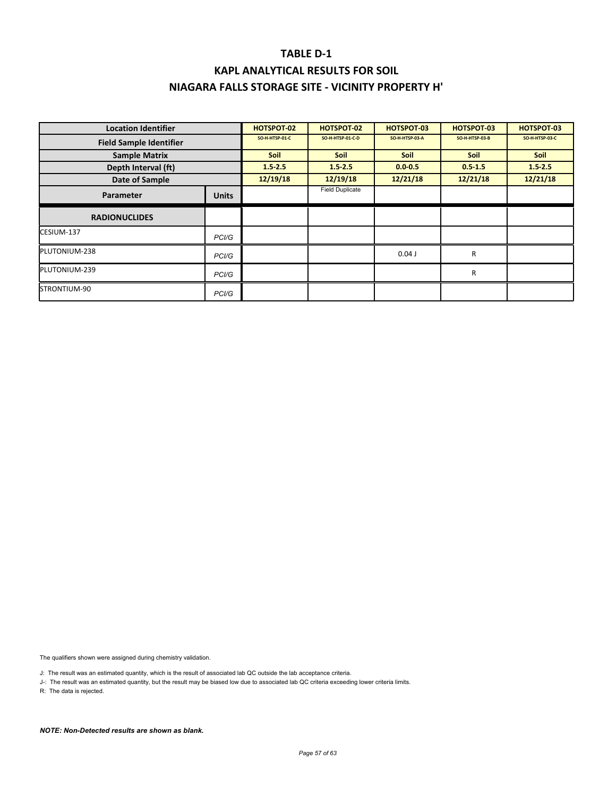| <b>Location Identifier</b>     |              | <b>HOTSPOT 02</b> | HOTSPOT-02              | <b>HOTSPOT 03</b> | <b>HOTSPOT 03</b> | <b>HOTSPOT 03</b> |
|--------------------------------|--------------|-------------------|-------------------------|-------------------|-------------------|-------------------|
| <b>Field Sample Identifier</b> |              | SO-H-HTSP-01-C    | <b>SO-H-HTSP-01-C-D</b> | SO-H-HTSP-03-A    | SO-H-HTSP-03-B    | SO-H-HTSP-03-C    |
| <b>Sample Matrix</b>           |              | <b>Soil</b>       | <b>Soil</b>             | <b>Soil</b>       | <b>Soil</b>       | Soil              |
| Depth Interval (ft)            |              | $1.5 - 2.5$       | $1.5 - 2.5$             | $0.0 - 0.5$       | $0.5 - 1.5$       | $1.5 - 2.5$       |
| Date of Sample                 |              | 12/19/18          | 12/19/18                | 12/21/18          | 12/21/18          | 12/21/18          |
| Parameter                      | <b>Units</b> |                   | <b>Field Duplicate</b>  |                   |                   |                   |
| <b>RADIONUCLIDES</b>           |              |                   |                         |                   |                   |                   |
| CESIUM-137                     | PCI/G        |                   |                         |                   |                   |                   |
| PLUTONIUM-238                  | PCI/G        |                   |                         | $0.04$ J          | R                 |                   |
| PLUTONIUM-239                  | PCI/G        |                   |                         |                   | R                 |                   |
| STRONTIUM-90                   | PCI/G        |                   |                         |                   |                   |                   |

The qualifiers shown were assigned during chemistry validation.

J: The result was an estimated quantity, which is the result of associated lab QC outside the lab acceptance criteria.

J-: The result was an estimated quantity, but the result may be biased low due to associated lab QC criteria exceeding lower criteria limits.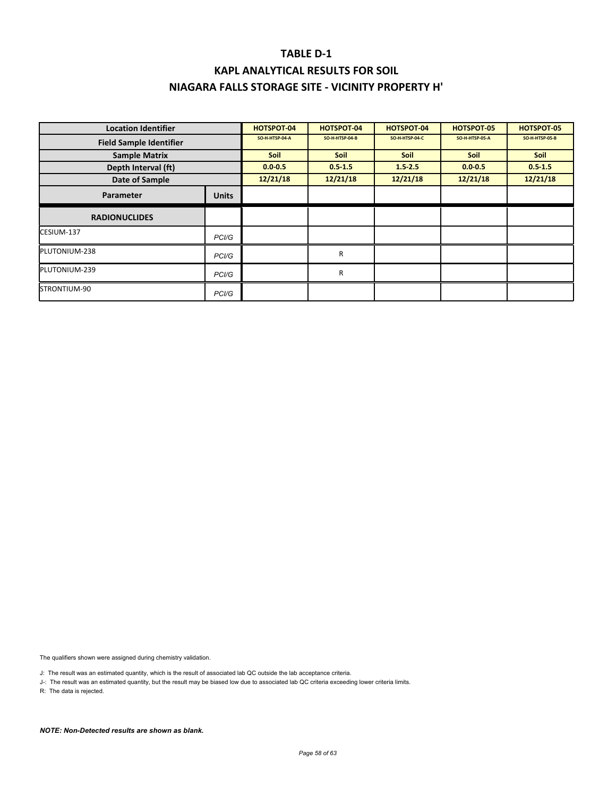| <b>Location Identifier</b>     |                    | <b>HOTSPOT 04</b> | HOTSPOT-04     | <b>HOTSPOT 04</b> | <b>HOTSPOT 05</b> | <b>HOTSPOT 05</b> |
|--------------------------------|--------------------|-------------------|----------------|-------------------|-------------------|-------------------|
| <b>Field Sample Identifier</b> |                    | SO-H-HTSP-04-A    | SO-H-HTSP-04-B | SO-H-HTSP-04-C    | SO-H-HTSP-05-A    | SO-H-HTSP-05-B    |
| <b>Sample Matrix</b>           |                    | <b>Soil</b>       | <b>Soil</b>    | <b>Soil</b>       | <b>Soil</b>       | <b>Soil</b>       |
| Depth Interval (ft)            |                    | $0.0 - 0.5$       | $0.5 - 1.5$    | $1.5 - 2.5$       | $0.0 - 0.5$       | $0.5 - 1.5$       |
| Date of Sample                 |                    | 12/21/18          | 12/21/18       | 12/21/18          | 12/21/18          | 12/21/18          |
| Parameter                      | <b>Units</b>       |                   |                |                   |                   |                   |
| <b>RADIONUCLIDES</b>           |                    |                   |                |                   |                   |                   |
| CESIUM-137                     | PC <sub>1</sub> /G |                   |                |                   |                   |                   |
| PLUTONIUM-238                  | PCI/G              |                   | R              |                   |                   |                   |
| PLUTONIUM-239                  | PCI/G              |                   | R              |                   |                   |                   |
| STRONTIUM-90                   | PC <sub>1</sub> /G |                   |                |                   |                   |                   |

The qualifiers shown were assigned during chemistry validation.

J: The result was an estimated quantity, which is the result of associated lab QC outside the lab acceptance criteria.

J-: The result was an estimated quantity, but the result may be biased low due to associated lab QC criteria exceeding lower criteria limits.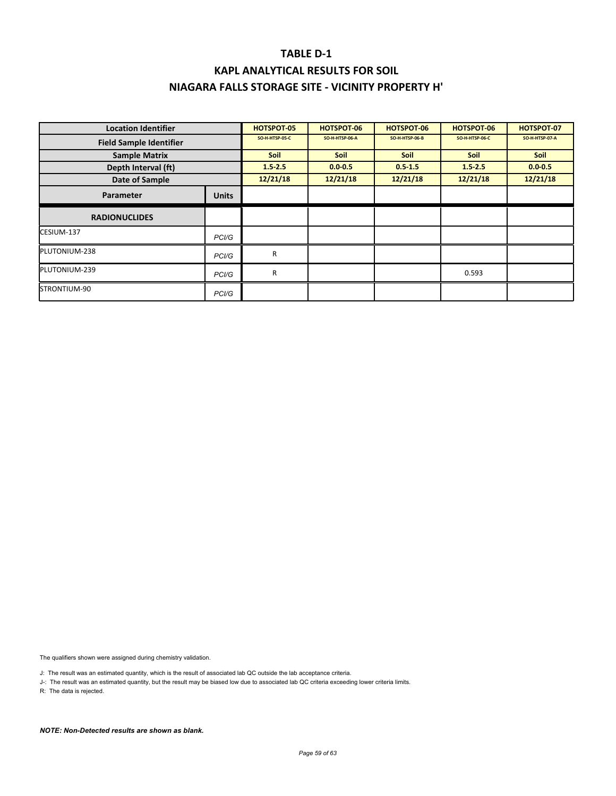| <b>Location Identifier</b>     |                    | <b>HOTSPOT 05</b> | HOTSPOT-06     | <b>HOTSPOT 06</b> | HOTSPOT-06     | HOTSPOT-07     |
|--------------------------------|--------------------|-------------------|----------------|-------------------|----------------|----------------|
| <b>Field Sample Identifier</b> |                    | SO-H-HTSP-05-C    | SO-H-HTSP-06-A | SO-H-HTSP-06-B    | SO-H-HTSP-06-C | SO-H-HTSP-07-A |
| <b>Sample Matrix</b>           |                    | <b>Soil</b>       | <b>Soil</b>    | <b>Soil</b>       | <b>Soil</b>    | <b>Soil</b>    |
| Depth Interval (ft)            |                    | $1.5 - 2.5$       | $0.0 - 0.5$    | $0.5 - 1.5$       | $1.5 - 2.5$    | $0.0 - 0.5$    |
| Date of Sample                 |                    | 12/21/18          | 12/21/18       | 12/21/18          | 12/21/18       | 12/21/18       |
| Parameter                      | <b>Units</b>       |                   |                |                   |                |                |
| <b>RADIONUCLIDES</b>           |                    |                   |                |                   |                |                |
| CESIUM-137                     | PC <sub>1</sub> /G |                   |                |                   |                |                |
| PLUTONIUM-238                  | PC <sub>1</sub> /G | R                 |                |                   |                |                |
| PLUTONIUM-239                  | PC <sub>1</sub> /G | R                 |                |                   | 0.593          |                |
| STRONTIUM-90                   | PCI/G              |                   |                |                   |                |                |

The qualifiers shown were assigned during chemistry validation.

J: The result was an estimated quantity, which is the result of associated lab QC outside the lab acceptance criteria.

J-: The result was an estimated quantity, but the result may be biased low due to associated lab QC criteria exceeding lower criteria limits.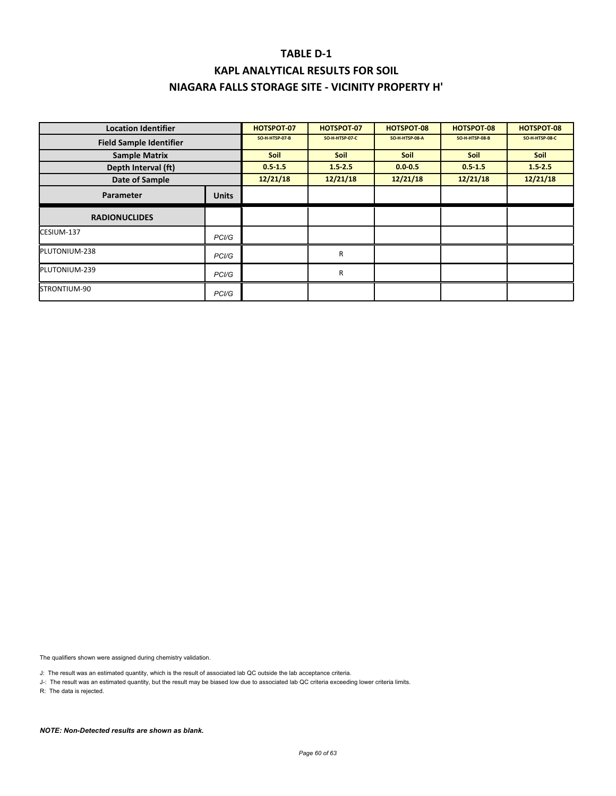| <b>Location Identifier</b>     |                    | <b>HOTSPOT 07</b> | <b>HOTSPOT 07</b> | <b>HOTSPOT 08</b> | <b>HOTSPOT-08</b> | HOTSPOT-08     |
|--------------------------------|--------------------|-------------------|-------------------|-------------------|-------------------|----------------|
| <b>Field Sample Identifier</b> |                    | SO-H-HTSP-07-B    | SO-H-HTSP-07-C    | SO-H-HTSP-08-A    | SO-H-HTSP-08-B    | SO-H-HTSP-08-C |
| <b>Sample Matrix</b>           |                    | Soil              | <b>Soil</b>       | <b>Soil</b>       | <b>Soil</b>       | Soil           |
| Depth Interval (ft)            |                    | $0.5 - 1.5$       | $1.5 - 2.5$       | $0.0 - 0.5$       | $0.5 - 1.5$       | $1.5 - 2.5$    |
| Date of Sample                 |                    | 12/21/18          | 12/21/18          | 12/21/18          | 12/21/18          | 12/21/18       |
| <b>Parameter</b>               | <b>Units</b>       |                   |                   |                   |                   |                |
| <b>RADIONUCLIDES</b>           |                    |                   |                   |                   |                   |                |
| CESIUM-137                     | PCI/G              |                   |                   |                   |                   |                |
| PLUTONIUM-238                  | PCI/G              |                   | R                 |                   |                   |                |
| PLUTONIUM-239                  | PC <sub>1</sub> /G |                   | R                 |                   |                   |                |
| STRONTIUM-90                   | PC <sub>1</sub> /G |                   |                   |                   |                   |                |

The qualifiers shown were assigned during chemistry validation.

J: The result was an estimated quantity, which is the result of associated lab QC outside the lab acceptance criteria.

J-: The result was an estimated quantity, but the result may be biased low due to associated lab QC criteria exceeding lower criteria limits.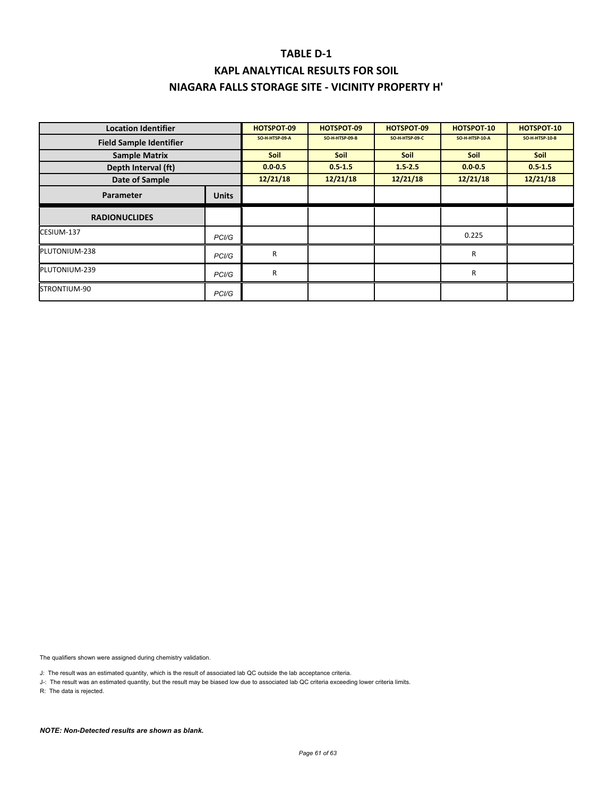| <b>Location Identifier</b>     |                    | HOTSPOT-09     | HOTSPOT-09     | HOTSPOT-09     | <b>HOTSPOT 10</b> | HOTSPOT-10            |
|--------------------------------|--------------------|----------------|----------------|----------------|-------------------|-----------------------|
| <b>Field Sample Identifier</b> |                    | SO-H-HTSP-09-A | SO-H-HTSP-09-B | SO-H-HTSP-09-C | SO-H-HTSP-10-A    | <b>SO-H-HTSP-10-B</b> |
| <b>Sample Matrix</b>           |                    | <b>Soil</b>    | <b>Soil</b>    | <b>Soil</b>    | Soil              | Soil                  |
| Depth Interval (ft)            |                    | $0.0 - 0.5$    | $0.5 - 1.5$    | $1.5 - 2.5$    | $0.0 - 0.5$       | $0.5 - 1.5$           |
| Date of Sample                 |                    | 12/21/18       | 12/21/18       | 12/21/18       | 12/21/18          | 12/21/18              |
| Parameter                      | <b>Units</b>       |                |                |                |                   |                       |
| <b>RADIONUCLIDES</b>           |                    |                |                |                |                   |                       |
| CESIUM-137                     | PC <sub>1</sub> /G |                |                |                | 0.225             |                       |
| PLUTONIUM-238                  | PCI/G              | R              |                |                | R                 |                       |
| PLUTONIUM-239                  | PC <sub>1</sub> /G | R              |                |                | R                 |                       |
| STRONTIUM-90                   | PCI/G              |                |                |                |                   |                       |

The qualifiers shown were assigned during chemistry validation.

J: The result was an estimated quantity, which is the result of associated lab QC outside the lab acceptance criteria.

J-: The result was an estimated quantity, but the result may be biased low due to associated lab QC criteria exceeding lower criteria limits.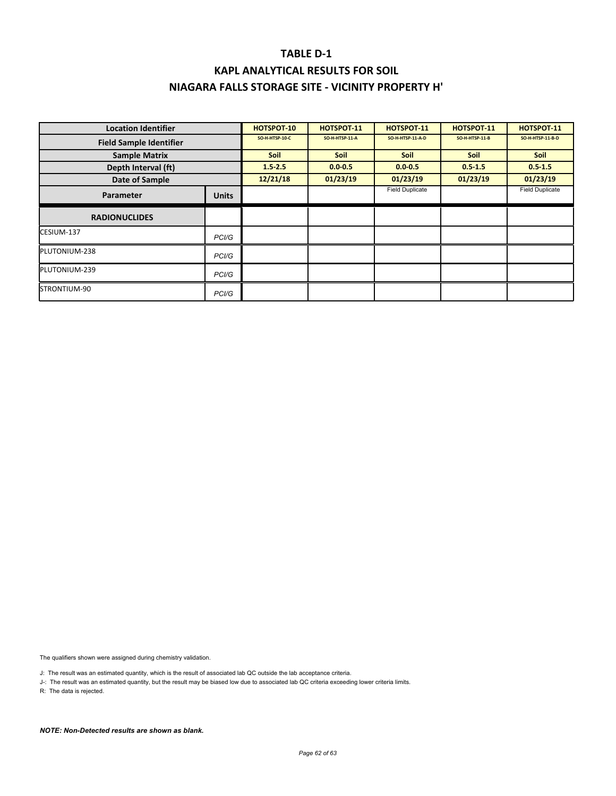| <b>Location Identifier</b>     |                    | <b>HOTSPOT-10</b> | <b>HOTSPOT 11</b> | <b>HOTSPOT 11</b>      | <b>HOTSPOT 11</b> | <b>HOTSPOT 11</b>      |
|--------------------------------|--------------------|-------------------|-------------------|------------------------|-------------------|------------------------|
| <b>Field Sample Identifier</b> |                    | SO-H-HTSP-10-C    | SO-H-HTSP-11-A    | SO-H-HTSP-11-A-D       | SO-H-HTSP-11-B    | SO-H-HTSP-11-B-D       |
| <b>Sample Matrix</b>           |                    | <b>Soil</b>       | <b>Soil</b>       | <b>Soil</b>            | Soil              | Soil                   |
| Depth Interval (ft)            |                    | $1.5 - 2.5$       | $0.0 - 0.5$       | $0.0 - 0.5$            | $0.5 - 1.5$       | $0.5 - 1.5$            |
| Date of Sample                 |                    | 12/21/18          | 01/23/19          | 01/23/19               | 01/23/19          | 01/23/19               |
| <b>Parameter</b>               | <b>Units</b>       |                   |                   | <b>Field Duplicate</b> |                   | <b>Field Duplicate</b> |
| <b>RADIONUCLIDES</b>           |                    |                   |                   |                        |                   |                        |
| CESIUM-137                     | PC <sub>1</sub> /G |                   |                   |                        |                   |                        |
| PLUTONIUM-238                  | PC <sub>1</sub> /G |                   |                   |                        |                   |                        |
| PLUTONIUM-239                  | PCI/G              |                   |                   |                        |                   |                        |
| STRONTIUM-90                   | PCI/G              |                   |                   |                        |                   |                        |

The qualifiers shown were assigned during chemistry validation.

J: The result was an estimated quantity, which is the result of associated lab QC outside the lab acceptance criteria.

J-: The result was an estimated quantity, but the result may be biased low due to associated lab QC criteria exceeding lower criteria limits.